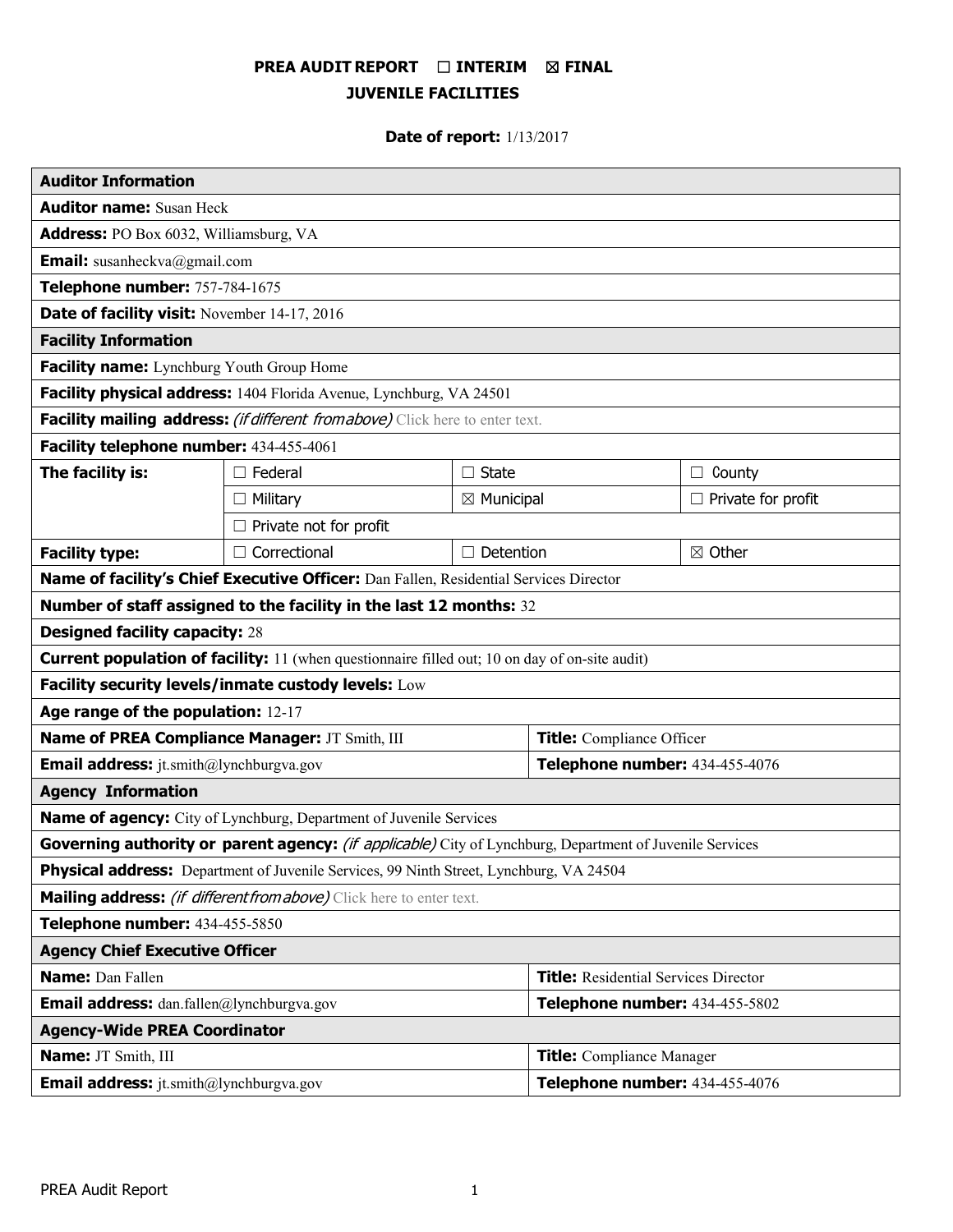# **PREA AUDIT REPORT** ☐ **INTERIM** ☒ **FINAL JUVENILE FACILITIES**

# **Date of report:** 1/13/2017

| <b>Auditor Information</b>                                                                               |                               |                       |                                             |                           |
|----------------------------------------------------------------------------------------------------------|-------------------------------|-----------------------|---------------------------------------------|---------------------------|
| <b>Auditor name: Susan Heck</b>                                                                          |                               |                       |                                             |                           |
| <b>Address:</b> PO Box 6032, Williamsburg, VA                                                            |                               |                       |                                             |                           |
| <b>Email:</b> susanheckva@gmail.com                                                                      |                               |                       |                                             |                           |
| Telephone number: 757-784-1675                                                                           |                               |                       |                                             |                           |
| Date of facility visit: November 14-17, 2016                                                             |                               |                       |                                             |                           |
| <b>Facility Information</b>                                                                              |                               |                       |                                             |                           |
| Facility name: Lynchburg Youth Group Home                                                                |                               |                       |                                             |                           |
| Facility physical address: 1404 Florida Avenue, Lynchburg, VA 24501                                      |                               |                       |                                             |                           |
| Facility mailing address: (if different from above) Click here to enter text.                            |                               |                       |                                             |                           |
| Facility telephone number: 434-455-4061                                                                  |                               |                       |                                             |                           |
| The facility is:                                                                                         | $\Box$ Federal                | $\Box$ State          |                                             | County<br>$\Box$          |
|                                                                                                          | $\Box$ Military               | $\boxtimes$ Municipal |                                             | $\Box$ Private for profit |
|                                                                                                          | $\Box$ Private not for profit |                       |                                             |                           |
| <b>Facility type:</b>                                                                                    | $\Box$ Correctional           | $\Box$ Detention      |                                             | ⊠ Other                   |
| Name of facility's Chief Executive Officer: Dan Fallen, Residential Services Director                    |                               |                       |                                             |                           |
| Number of staff assigned to the facility in the last 12 months: 32                                       |                               |                       |                                             |                           |
| <b>Designed facility capacity: 28</b>                                                                    |                               |                       |                                             |                           |
| <b>Current population of facility:</b> 11 (when questionnaire filled out; 10 on day of on-site audit)    |                               |                       |                                             |                           |
| Facility security levels/inmate custody levels: Low                                                      |                               |                       |                                             |                           |
| Age range of the population: 12-17                                                                       |                               |                       |                                             |                           |
| Name of PREA Compliance Manager: JT Smith, III                                                           |                               |                       | <b>Title:</b> Compliance Officer            |                           |
| <b>Email address:</b> jt.smith@lynchburgva.gov                                                           |                               |                       | Telephone number: 434-455-4076              |                           |
| <b>Agency Information</b>                                                                                |                               |                       |                                             |                           |
| Name of agency: City of Lynchburg, Department of Juvenile Services                                       |                               |                       |                                             |                           |
| Governing authority or parent agency: (if applicable) City of Lynchburg, Department of Juvenile Services |                               |                       |                                             |                           |
| <b>Physical address:</b> Department of Juvenile Services, 99 Ninth Street, Lynchburg, VA 24504           |                               |                       |                                             |                           |
| Mailing address: (if different from above) Click here to enter text.                                     |                               |                       |                                             |                           |
| Telephone number: 434-455-5850                                                                           |                               |                       |                                             |                           |
| <b>Agency Chief Executive Officer</b>                                                                    |                               |                       |                                             |                           |
| <b>Name:</b> Dan Fallen                                                                                  |                               |                       | <b>Title:</b> Residential Services Director |                           |
| <b>Email address:</b> dan.fallen@lynchburgva.gov                                                         |                               |                       | Telephone number: 434-455-5802              |                           |
| <b>Agency-Wide PREA Coordinator</b>                                                                      |                               |                       |                                             |                           |
| Name: JT Smith, III                                                                                      |                               |                       | <b>Title:</b> Compliance Manager            |                           |
| <b>Email address:</b> jt.smith@lynchburgva.gov                                                           |                               |                       | Telephone number: 434-455-4076              |                           |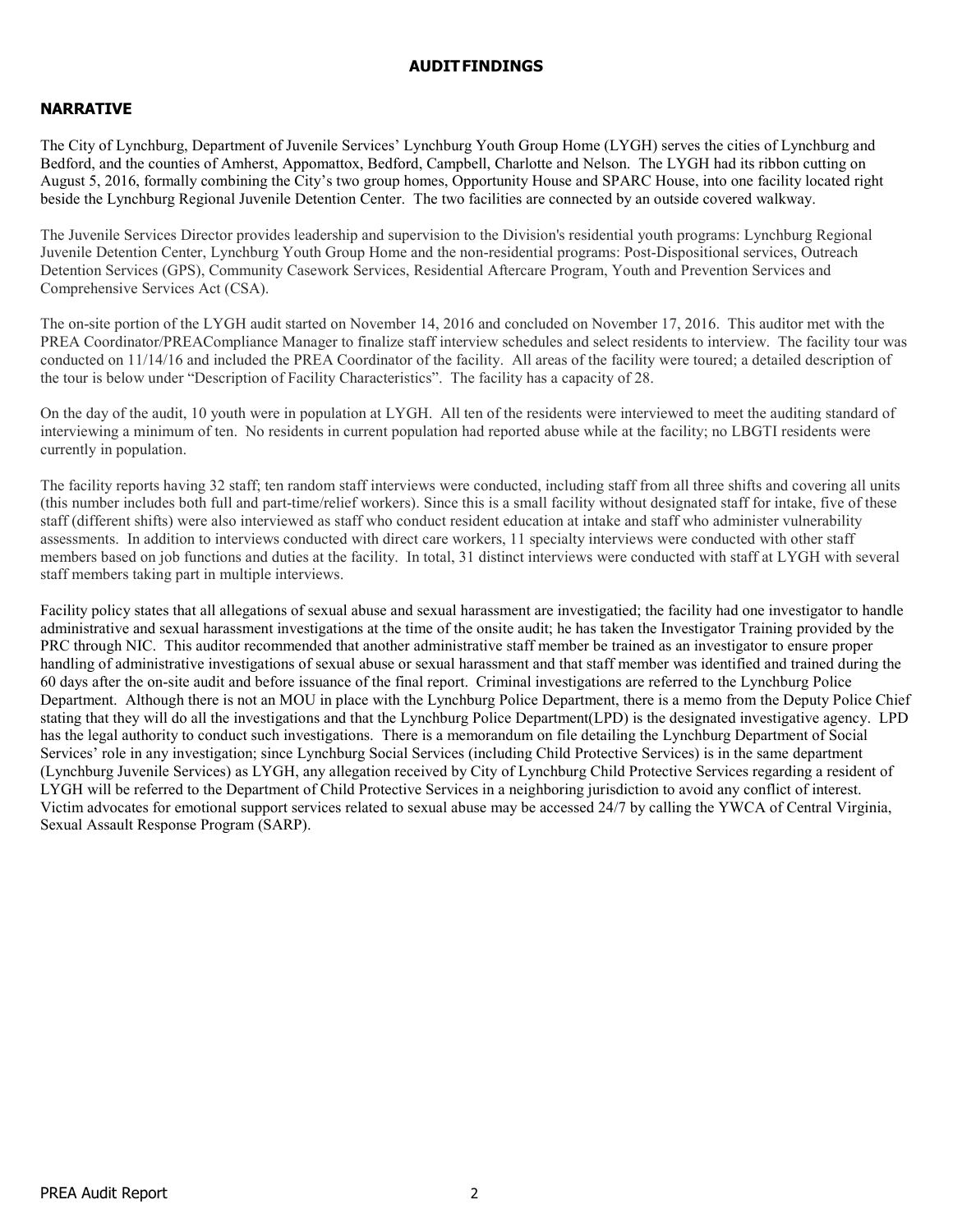#### **AUDITFINDINGS**

## **NARRATIVE**

The City of Lynchburg, Department of Juvenile Services' Lynchburg Youth Group Home (LYGH) serves the cities of Lynchburg and Bedford, and the counties of Amherst, Appomattox, Bedford, Campbell, Charlotte and Nelson. The LYGH had its ribbon cutting on August 5, 2016, formally combining the City's two group homes, Opportunity House and SPARC House, into one facility located right beside the Lynchburg Regional Juvenile Detention Center. The two facilities are connected by an outside covered walkway.

The Juvenile Services Director provides leadership and supervision to the Division's residential youth programs: Lynchburg Regional Juvenile Detention Center, Lynchburg Youth Group Home and the non-residential programs: Post-Dispositional services, Outreach Detention Services (GPS), Community Casework Services, Residential Aftercare Program, Youth and Prevention Services and Comprehensive Services Act (CSA).

The on-site portion of the LYGH audit started on November 14, 2016 and concluded on November 17, 2016. This auditor met with the PREA Coordinator/PREACompliance Manager to finalize staff interview schedules and select residents to interview. The facility tour was conducted on 11/14/16 and included the PREA Coordinator of the facility. All areas of the facility were toured; a detailed description of the tour is below under "Description of Facility Characteristics". The facility has a capacity of 28.

On the day of the audit, 10 youth were in population at LYGH. All ten of the residents were interviewed to meet the auditing standard of interviewing a minimum of ten. No residents in current population had reported abuse while at the facility; no LBGTI residents were currently in population.

The facility reports having 32 staff; ten random staff interviews were conducted, including staff from all three shifts and covering all units (this number includes both full and part-time/relief workers). Since this is a small facility without designated staff for intake, five of these staff (different shifts) were also interviewed as staff who conduct resident education at intake and staff who administer vulnerability assessments. In addition to interviews conducted with direct care workers, 11 specialty interviews were conducted with other staff members based on job functions and duties at the facility. In total, 31 distinct interviews were conducted with staff at LYGH with several staff members taking part in multiple interviews.

Facility policy states that all allegations of sexual abuse and sexual harassment are investigatied; the facility had one investigator to handle administrative and sexual harassment investigations at the time of the onsite audit; he has taken the Investigator Training provided by the PRC through NIC. This auditor recommended that another administrative staff member be trained as an investigator to ensure proper handling of administrative investigations of sexual abuse or sexual harassment and that staff member was identified and trained during the 60 days after the on-site audit and before issuance of the final report. Criminal investigations are referred to the Lynchburg Police Department. Although there is not an MOU in place with the Lynchburg Police Department, there is a memo from the Deputy Police Chief stating that they will do all the investigations and that the Lynchburg Police Department(LPD) is the designated investigative agency. LPD has the legal authority to conduct such investigations. There is a memorandum on file detailing the Lynchburg Department of Social Services' role in any investigation; since Lynchburg Social Services (including Child Protective Services) is in the same department (Lynchburg Juvenile Services) as LYGH, any allegation received by City of Lynchburg Child Protective Services regarding a resident of LYGH will be referred to the Department of Child Protective Services in a neighboring jurisdiction to avoid any conflict of interest. Victim advocates for emotional support services related to sexual abuse may be accessed 24/7 by calling the YWCA of Central Virginia, Sexual Assault Response Program (SARP).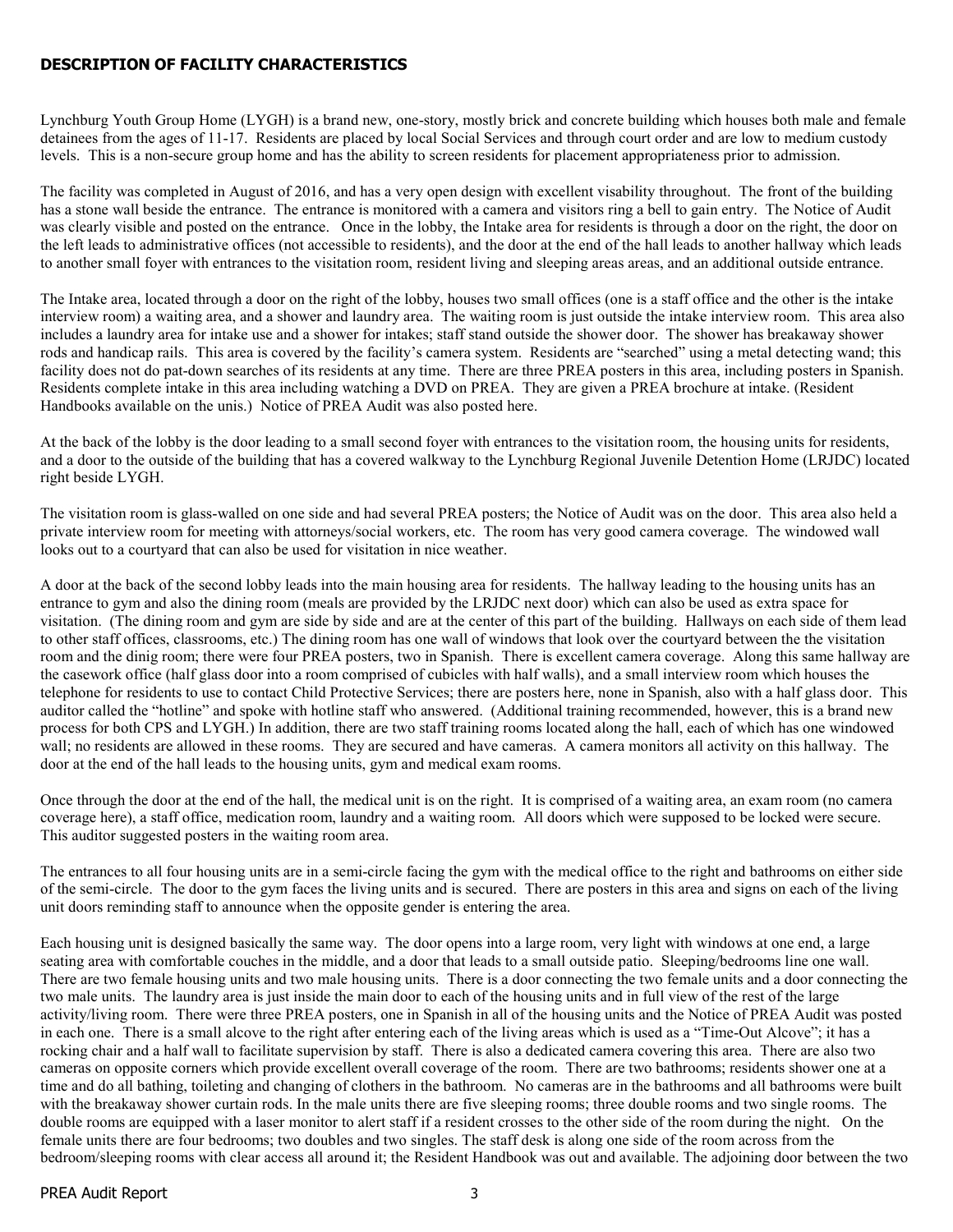## **DESCRIPTION OF FACILITY CHARACTERISTICS**

Lynchburg Youth Group Home (LYGH) is a brand new, one-story, mostly brick and concrete building which houses both male and female detainees from the ages of 11-17. Residents are placed by local Social Services and through court order and are low to medium custody levels. This is a non-secure group home and has the ability to screen residents for placement appropriateness prior to admission.

The facility was completed in August of 2016, and has a very open design with excellent visability throughout. The front of the building has a stone wall beside the entrance. The entrance is monitored with a camera and visitors ring a bell to gain entry. The Notice of Audit was clearly visible and posted on the entrance. Once in the lobby, the Intake area for residents is through a door on the right, the door on the left leads to administrative offices (not accessible to residents), and the door at the end of the hall leads to another hallway which leads to another small foyer with entrances to the visitation room, resident living and sleeping areas areas, and an additional outside entrance.

The Intake area, located through a door on the right of the lobby, houses two small offices (one is a staff office and the other is the intake interview room) a waiting area, and a shower and laundry area. The waiting room is just outside the intake interview room. This area also includes a laundry area for intake use and a shower for intakes; staff stand outside the shower door. The shower has breakaway shower rods and handicap rails. This area is covered by the facility's camera system. Residents are "searched" using a metal detecting wand; this facility does not do pat-down searches of its residents at any time. There are three PREA posters in this area, including posters in Spanish. Residents complete intake in this area including watching a DVD on PREA. They are given a PREA brochure at intake. (Resident Handbooks available on the unis.) Notice of PREA Audit was also posted here.

At the back of the lobby is the door leading to a small second foyer with entrances to the visitation room, the housing units for residents, and a door to the outside of the building that has a covered walkway to the Lynchburg Regional Juvenile Detention Home (LRJDC) located right beside LYGH.

The visitation room is glass-walled on one side and had several PREA posters; the Notice of Audit was on the door. This area also held a private interview room for meeting with attorneys/social workers, etc. The room has very good camera coverage. The windowed wall looks out to a courtyard that can also be used for visitation in nice weather.

A door at the back of the second lobby leads into the main housing area for residents. The hallway leading to the housing units has an entrance to gym and also the dining room (meals are provided by the LRJDC next door) which can also be used as extra space for visitation. (The dining room and gym are side by side and are at the center of this part of the building. Hallways on each side of them lead to other staff offices, classrooms, etc.) The dining room has one wall of windows that look over the courtyard between the the visitation room and the dinig room; there were four PREA posters, two in Spanish. There is excellent camera coverage. Along this same hallway are the casework office (half glass door into a room comprised of cubicles with half walls), and a small interview room which houses the telephone for residents to use to contact Child Protective Services; there are posters here, none in Spanish, also with a half glass door. This auditor called the "hotline" and spoke with hotline staff who answered. (Additional training recommended, however, this is a brand new process for both CPS and LYGH.) In addition, there are two staff training rooms located along the hall, each of which has one windowed wall; no residents are allowed in these rooms. They are secured and have cameras. A camera monitors all activity on this hallway. The door at the end of the hall leads to the housing units, gym and medical exam rooms.

Once through the door at the end of the hall, the medical unit is on the right. It is comprised of a waiting area, an exam room (no camera coverage here), a staff office, medication room, laundry and a waiting room. All doors which were supposed to be locked were secure. This auditor suggested posters in the waiting room area.

The entrances to all four housing units are in a semi-circle facing the gym with the medical office to the right and bathrooms on either side of the semi-circle. The door to the gym faces the living units and is secured. There are posters in this area and signs on each of the living unit doors reminding staff to announce when the opposite gender is entering the area.

Each housing unit is designed basically the same way. The door opens into a large room, very light with windows at one end, a large seating area with comfortable couches in the middle, and a door that leads to a small outside patio. Sleeping/bedrooms line one wall. There are two female housing units and two male housing units. There is a door connecting the two female units and a door connecting the two male units. The laundry area is just inside the main door to each of the housing units and in full view of the rest of the large activity/living room. There were three PREA posters, one in Spanish in all of the housing units and the Notice of PREA Audit was posted in each one. There is a small alcove to the right after entering each of the living areas which is used as a "Time-Out Alcove"; it has a rocking chair and a half wall to facilitate supervision by staff. There is also a dedicated camera covering this area. There are also two cameras on opposite corners which provide excellent overall coverage of the room. There are two bathrooms; residents shower one at a time and do all bathing, toileting and changing of clothers in the bathroom. No cameras are in the bathrooms and all bathrooms were built with the breakaway shower curtain rods. In the male units there are five sleeping rooms; three double rooms and two single rooms. The double rooms are equipped with a laser monitor to alert staff if a resident crosses to the other side of the room during the night. On the female units there are four bedrooms; two doubles and two singles. The staff desk is along one side of the room across from the bedroom/sleeping rooms with clear access all around it; the Resident Handbook was out and available. The adjoining door between the two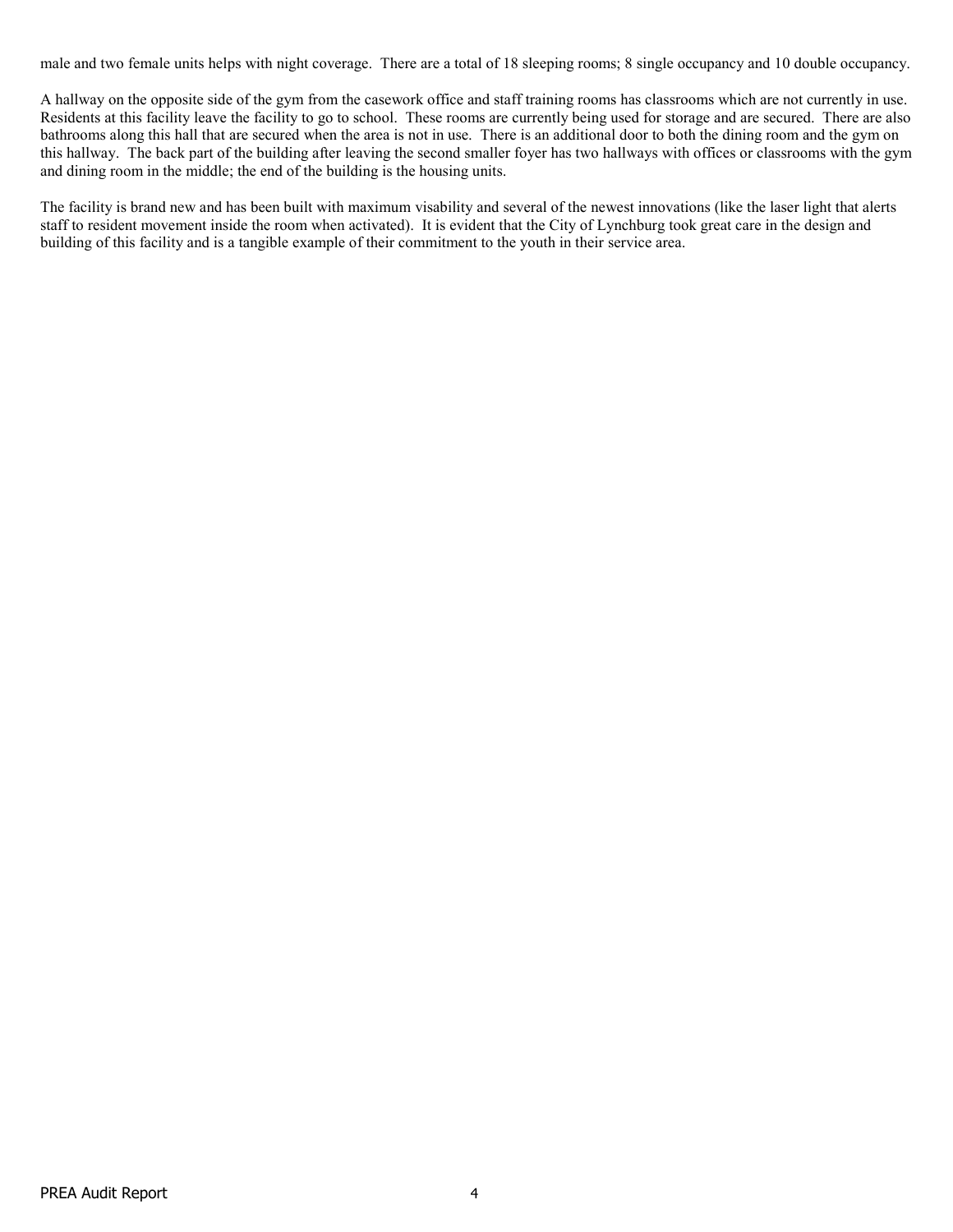male and two female units helps with night coverage. There are a total of 18 sleeping rooms; 8 single occupancy and 10 double occupancy.

A hallway on the opposite side of the gym from the casework office and staff training rooms has classrooms which are not currently in use. Residents at this facility leave the facility to go to school. These rooms are currently being used for storage and are secured. There are also bathrooms along this hall that are secured when the area is not in use. There is an additional door to both the dining room and the gym on this hallway. The back part of the building after leaving the second smaller foyer has two hallways with offices or classrooms with the gym and dining room in the middle; the end of the building is the housing units.

The facility is brand new and has been built with maximum visability and several of the newest innovations (like the laser light that alerts staff to resident movement inside the room when activated). It is evident that the City of Lynchburg took great care in the design and building of this facility and is a tangible example of their commitment to the youth in their service area.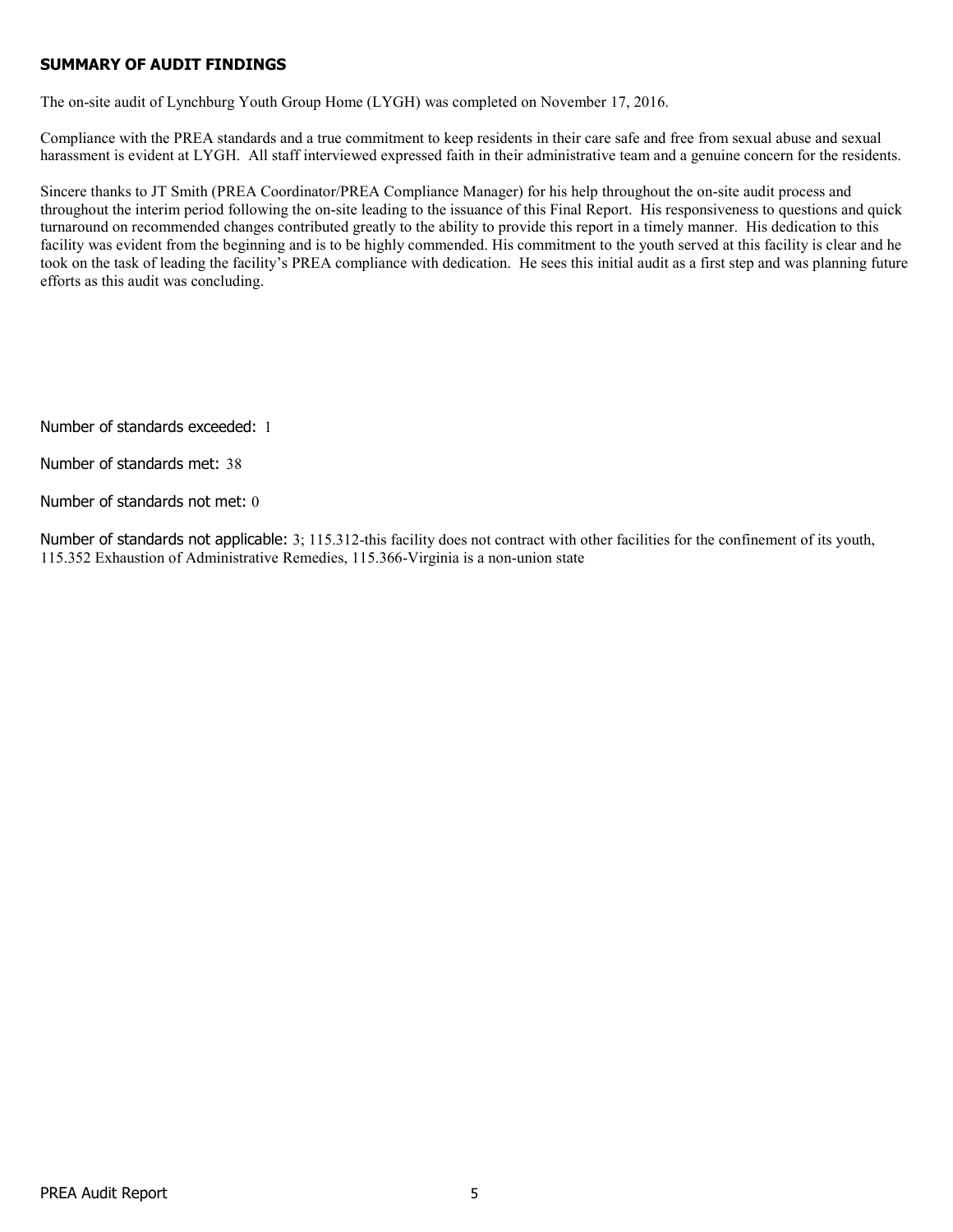## **SUMMARY OF AUDIT FINDINGS**

The on-site audit of Lynchburg Youth Group Home (LYGH) was completed on November 17, 2016.

Compliance with the PREA standards and a true commitment to keep residents in their care safe and free from sexual abuse and sexual harassment is evident at LYGH. All staff interviewed expressed faith in their administrative team and a genuine concern for the residents.

Sincere thanks to JT Smith (PREA Coordinator/PREA Compliance Manager) for his help throughout the on-site audit process and throughout the interim period following the on-site leading to the issuance of this Final Report. His responsiveness to questions and quick turnaround on recommended changes contributed greatly to the ability to provide this report in a timely manner. His dedication to this facility was evident from the beginning and is to be highly commended. His commitment to the youth served at this facility is clear and he took on the task of leading the facility's PREA compliance with dedication. He sees this initial audit as a first step and was planning future efforts as this audit was concluding.

Number of standards exceeded: 1

Number of standards met: 38

Number of standards not met: 0

Number of standards not applicable: 3; 115.312-this facility does not contract with other facilities for the confinement of its youth, 115.352 Exhaustion of Administrative Remedies, 115.366-Virginia is a non-union state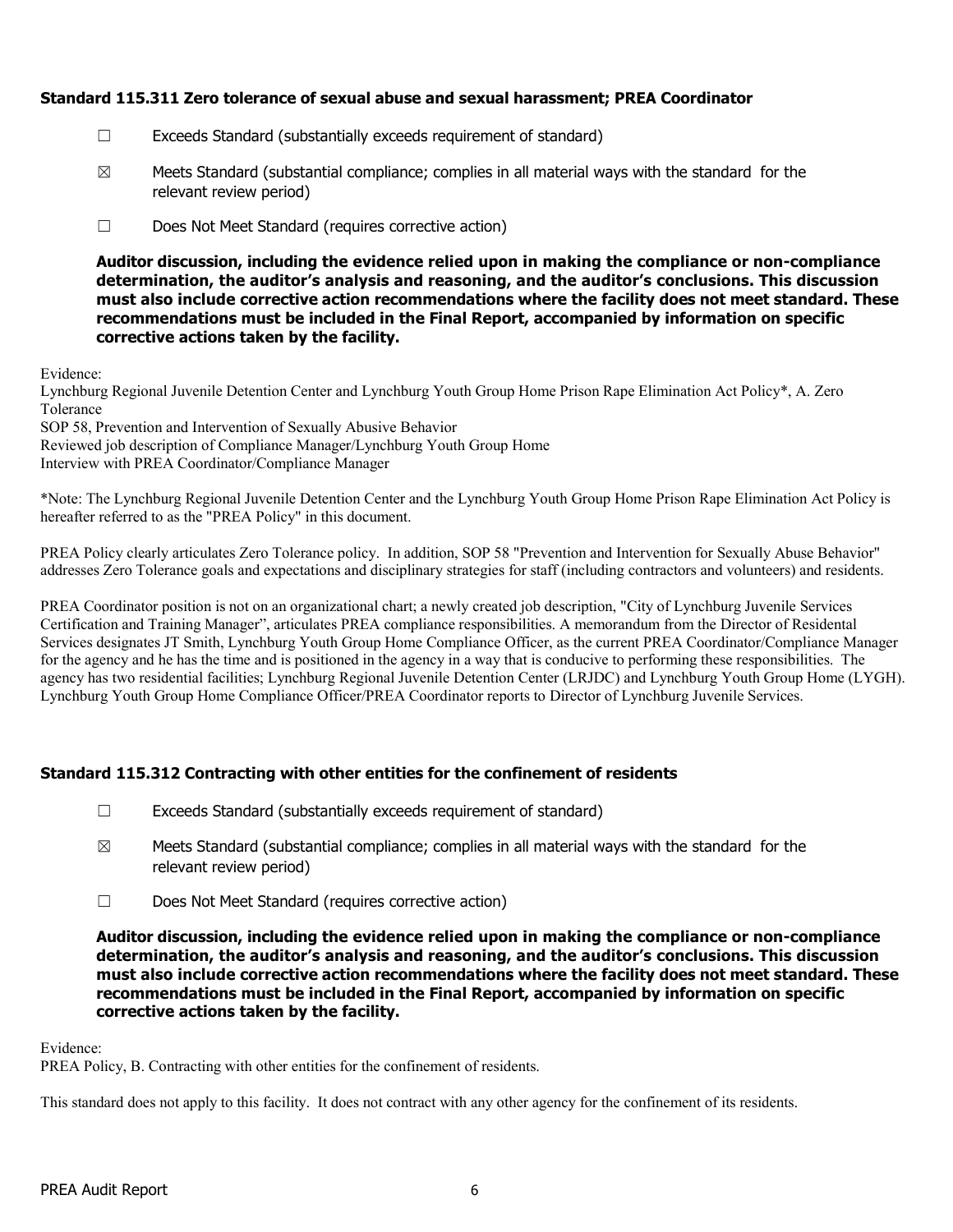## **Standard 115.311 Zero tolerance of sexual abuse and sexual harassment; PREA Coordinator**

- ☐ Exceeds Standard (substantially exceeds requirement of standard)
- $\boxtimes$  Meets Standard (substantial compliance; complies in all material ways with the standard for the relevant review period)
- ☐ Does Not Meet Standard (requires corrective action)

**Auditor discussion, including the evidence relied upon in making the compliance or non-compliance determination, the auditor's analysis and reasoning, and the auditor's conclusions. This discussion must also include corrective action recommendations where the facility does not meet standard. These recommendations must be included in the Final Report, accompanied by information on specific corrective actions taken by the facility.**

Evidence:

Lynchburg Regional Juvenile Detention Center and Lynchburg Youth Group Home Prison Rape Elimination Act Policy\*, A. Zero Tolerance

SOP 58, Prevention and Intervention of Sexually Abusive Behavior

Reviewed job description of Compliance Manager/Lynchburg Youth Group Home

Interview with PREA Coordinator/Compliance Manager

\*Note: The Lynchburg Regional Juvenile Detention Center and the Lynchburg Youth Group Home Prison Rape Elimination Act Policy is hereafter referred to as the "PREA Policy" in this document.

PREA Policy clearly articulates Zero Tolerance policy. In addition, SOP 58 "Prevention and Intervention for Sexually Abuse Behavior" addresses Zero Tolerance goals and expectations and disciplinary strategies for staff (including contractors and volunteers) and residents.

PREA Coordinator position is not on an organizational chart; a newly created job description, "City of Lynchburg Juvenile Services Certification and Training Manager", articulates PREA compliance responsibilities. A memorandum from the Director of Residental Services designates JT Smith, Lynchburg Youth Group Home Compliance Officer, as the current PREA Coordinator/Compliance Manager for the agency and he has the time and is positioned in the agency in a way that is conducive to performing these responsibilities. The agency has two residential facilities; Lynchburg Regional Juvenile Detention Center (LRJDC) and Lynchburg Youth Group Home (LYGH). Lynchburg Youth Group Home Compliance Officer/PREA Coordinator reports to Director of Lynchburg Juvenile Services.

## **Standard 115.312 Contracting with other entities for the confinement of residents**

- $\Box$  Exceeds Standard (substantially exceeds requirement of standard)
- $\boxtimes$  Meets Standard (substantial compliance; complies in all material ways with the standard for the relevant review period)
- ☐ Does Not Meet Standard (requires corrective action)

**Auditor discussion, including the evidence relied upon in making the compliance or non-compliance determination, the auditor's analysis and reasoning, and the auditor's conclusions. This discussion must also include corrective action recommendations where the facility does not meet standard. These recommendations must be included in the Final Report, accompanied by information on specific corrective actions taken by the facility.**

Evidence:

PREA Policy, B. Contracting with other entities for the confinement of residents.

This standard does not apply to this facility. It does not contract with any other agency for the confinement of its residents.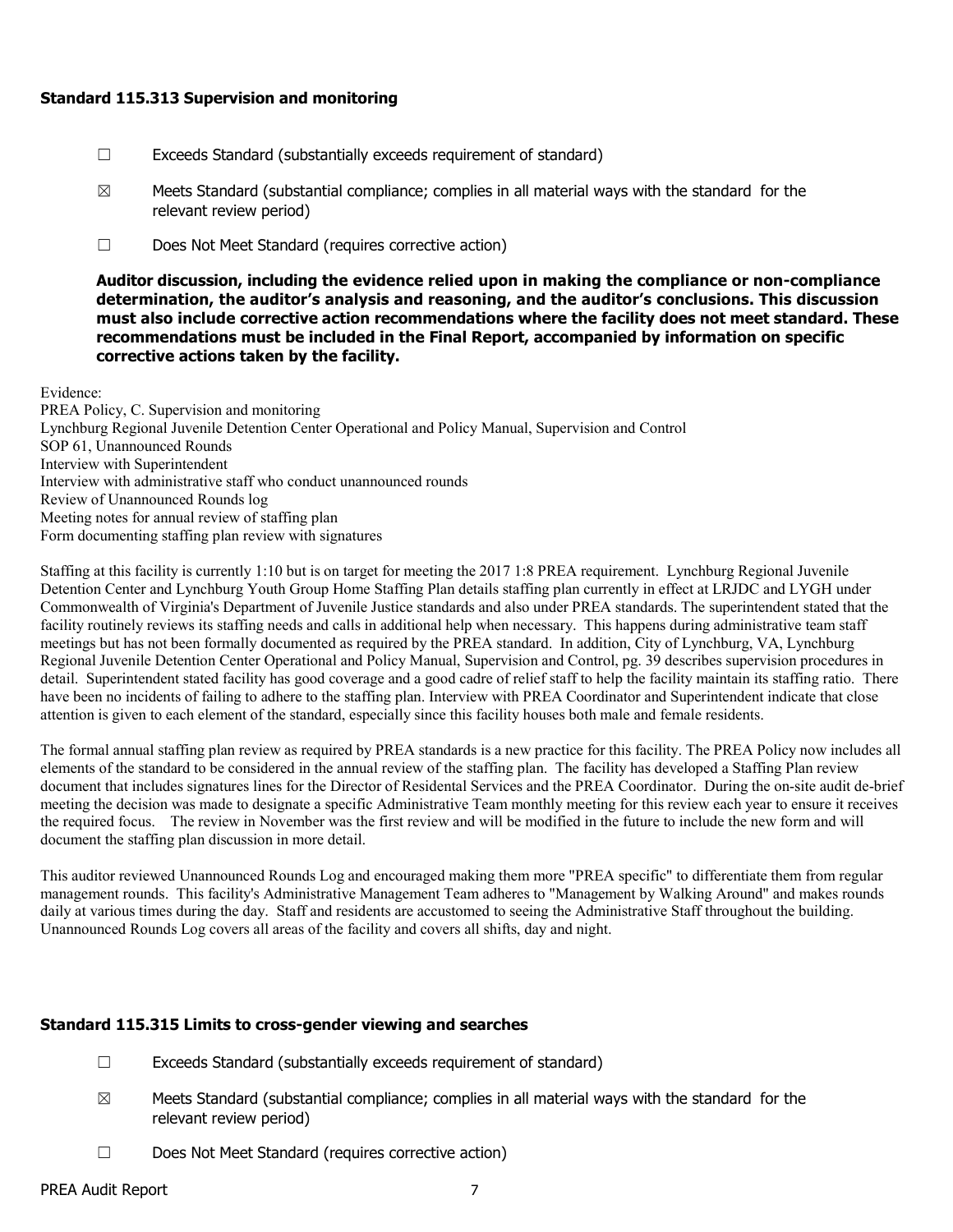#### **Standard 115.313 Supervision and monitoring**

- ☐ Exceeds Standard (substantially exceeds requirement of standard)
- $\boxtimes$  Meets Standard (substantial compliance; complies in all material ways with the standard for the relevant review period)
- ☐ Does Not Meet Standard (requires corrective action)

#### **Auditor discussion, including the evidence relied upon in making the compliance or non-compliance determination, the auditor's analysis and reasoning, and the auditor's conclusions. This discussion must also include corrective action recommendations where the facility does not meet standard. These recommendations must be included in the Final Report, accompanied by information on specific corrective actions taken by the facility.**

Evidence:

PREA Policy, C. Supervision and monitoring Lynchburg Regional Juvenile Detention Center Operational and Policy Manual, Supervision and Control SOP 61, Unannounced Rounds Interview with Superintendent Interview with administrative staff who conduct unannounced rounds Review of Unannounced Rounds log Meeting notes for annual review of staffing plan Form documenting staffing plan review with signatures

Staffing at this facility is currently 1:10 but is on target for meeting the 2017 1:8 PREA requirement. Lynchburg Regional Juvenile Detention Center and Lynchburg Youth Group Home Staffing Plan details staffing plan currently in effect at LRJDC and LYGH under Commonwealth of Virginia's Department of Juvenile Justice standards and also under PREA standards. The superintendent stated that the facility routinely reviews its staffing needs and calls in additional help when necessary. This happens during administrative team staff meetings but has not been formally documented as required by the PREA standard. In addition, City of Lynchburg, VA, Lynchburg Regional Juvenile Detention Center Operational and Policy Manual, Supervision and Control, pg. 39 describes supervision procedures in detail. Superintendent stated facility has good coverage and a good cadre of relief staff to help the facility maintain its staffing ratio. There have been no incidents of failing to adhere to the staffing plan. Interview with PREA Coordinator and Superintendent indicate that close attention is given to each element of the standard, especially since this facility houses both male and female residents.

The formal annual staffing plan review as required by PREA standards is a new practice for this facility. The PREA Policy now includes all elements of the standard to be considered in the annual review of the staffing plan. The facility has developed a Staffing Plan review document that includes signatures lines for the Director of Residental Services and the PREA Coordinator. During the on-site audit de-brief meeting the decision was made to designate a specific Administrative Team monthly meeting for this review each year to ensure it receives the required focus. The review in November was the first review and will be modified in the future to include the new form and will document the staffing plan discussion in more detail.

This auditor reviewed Unannounced Rounds Log and encouraged making them more "PREA specific" to differentiate them from regular management rounds. This facility's Administrative Management Team adheres to "Management by Walking Around" and makes rounds daily at various times during the day. Staff and residents are accustomed to seeing the Administrative Staff throughout the building. Unannounced Rounds Log covers all areas of the facility and covers all shifts, day and night.

## **Standard 115.315 Limits to cross-gender viewing and searches**

- ☐ Exceeds Standard (substantially exceeds requirement of standard)
- $\boxtimes$  Meets Standard (substantial compliance; complies in all material ways with the standard for the relevant review period)
- ☐ Does Not Meet Standard (requires corrective action)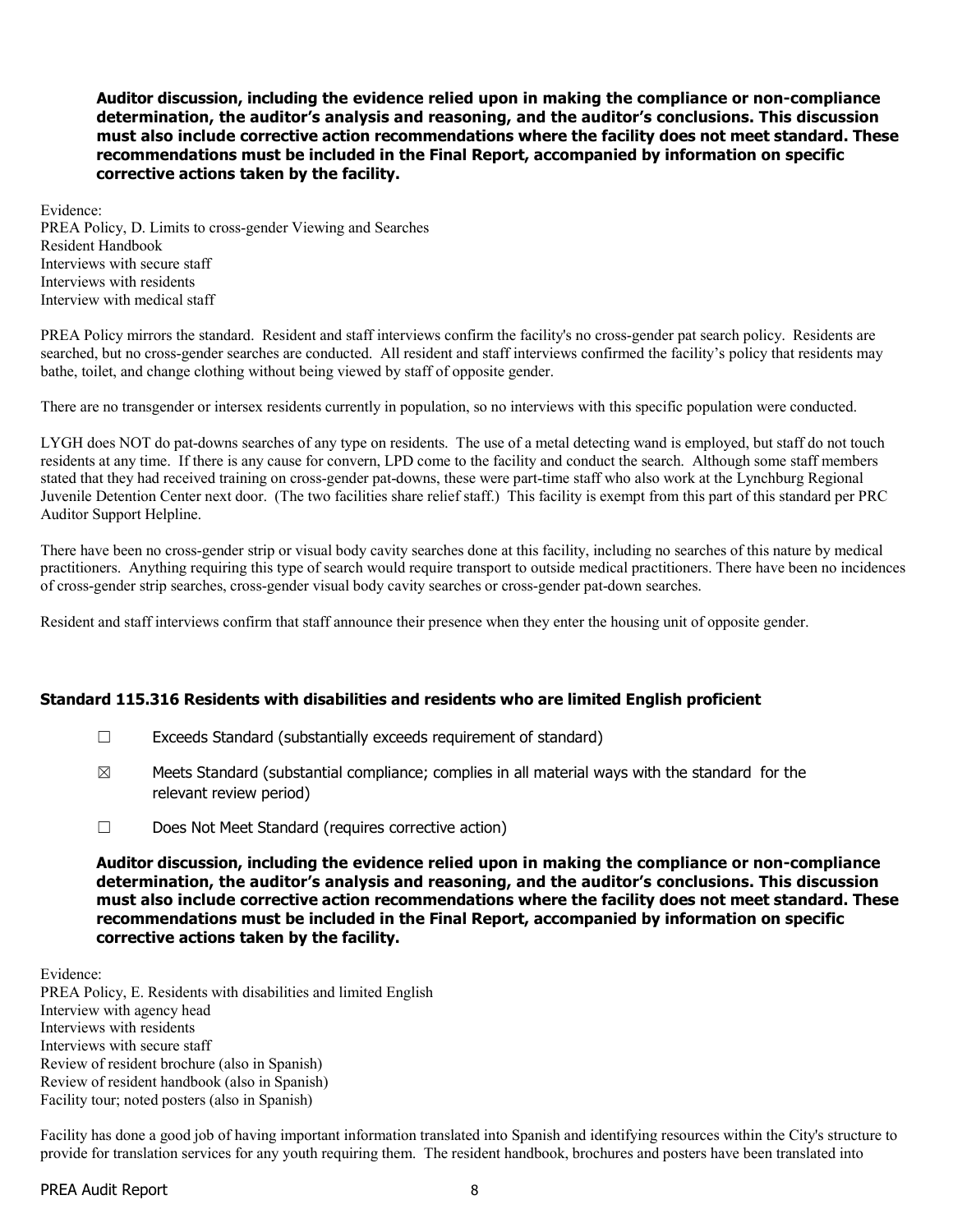Evidence: PREA Policy, D. Limits to cross-gender Viewing and Searches Resident Handbook Interviews with secure staff Interviews with residents Interview with medical staff

PREA Policy mirrors the standard. Resident and staff interviews confirm the facility's no cross-gender pat search policy. Residents are searched, but no cross-gender searches are conducted. All resident and staff interviews confirmed the facility's policy that residents may bathe, toilet, and change clothing without being viewed by staff of opposite gender.

There are no transgender or intersex residents currently in population, so no interviews with this specific population were conducted.

LYGH does NOT do pat-downs searches of any type on residents. The use of a metal detecting wand is employed, but staff do not touch residents at any time. If there is any cause for convern, LPD come to the facility and conduct the search. Although some staff members stated that they had received training on cross-gender pat-downs, these were part-time staff who also work at the Lynchburg Regional Juvenile Detention Center next door. (The two facilities share relief staff.) This facility is exempt from this part of this standard per PRC Auditor Support Helpline.

There have been no cross-gender strip or visual body cavity searches done at this facility, including no searches of this nature by medical practitioners. Anything requiring this type of search would require transport to outside medical practitioners. There have been no incidences of cross-gender strip searches, cross-gender visual body cavity searches or cross-gender pat-down searches.

Resident and staff interviews confirm that staff announce their presence when they enter the housing unit of opposite gender.

#### **Standard 115.316 Residents with disabilities and residents who are limited English proficient**

- ☐ Exceeds Standard (substantially exceeds requirement of standard)
- $\boxtimes$  Meets Standard (substantial compliance; complies in all material ways with the standard for the relevant review period)
- ☐ Does Not Meet Standard (requires corrective action)

**Auditor discussion, including the evidence relied upon in making the compliance or non-compliance determination, the auditor's analysis and reasoning, and the auditor's conclusions. This discussion must also include corrective action recommendations where the facility does not meet standard. These recommendations must be included in the Final Report, accompanied by information on specific corrective actions taken by the facility.**

Evidence: PREA Policy, E. Residents with disabilities and limited English Interview with agency head Interviews with residents Interviews with secure staff Review of resident brochure (also in Spanish) Review of resident handbook (also in Spanish) Facility tour; noted posters (also in Spanish)

Facility has done a good job of having important information translated into Spanish and identifying resources within the City's structure to provide for translation services for any youth requiring them. The resident handbook, brochures and posters have been translated into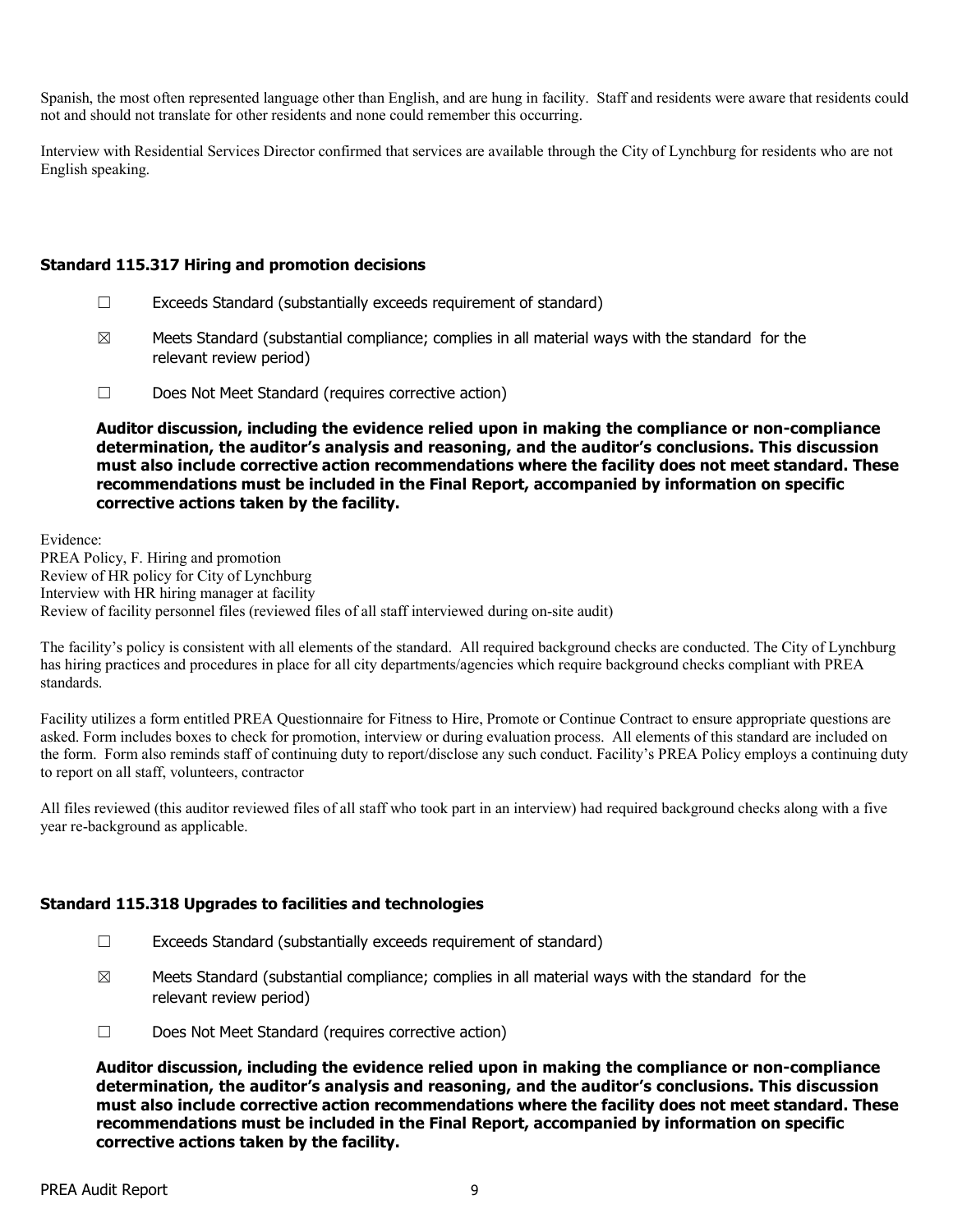Spanish, the most often represented language other than English, and are hung in facility. Staff and residents were aware that residents could not and should not translate for other residents and none could remember this occurring.

Interview with Residential Services Director confirmed that services are available through the City of Lynchburg for residents who are not English speaking.

#### **Standard 115.317 Hiring and promotion decisions**

- ☐ Exceeds Standard (substantially exceeds requirement of standard)
- $\boxtimes$  Meets Standard (substantial compliance; complies in all material ways with the standard for the relevant review period)
- ☐ Does Not Meet Standard (requires corrective action)

**Auditor discussion, including the evidence relied upon in making the compliance or non-compliance determination, the auditor's analysis and reasoning, and the auditor's conclusions. This discussion must also include corrective action recommendations where the facility does not meet standard. These recommendations must be included in the Final Report, accompanied by information on specific corrective actions taken by the facility.**

Evidence: PREA Policy, F. Hiring and promotion Review of HR policy for City of Lynchburg Interview with HR hiring manager at facility Review of facility personnel files (reviewed files of all staff interviewed during on-site audit)

The facility's policy is consistent with all elements of the standard. All required background checks are conducted. The City of Lynchburg has hiring practices and procedures in place for all city departments/agencies which require background checks compliant with PREA standards.

Facility utilizes a form entitled PREA Questionnaire for Fitness to Hire, Promote or Continue Contract to ensure appropriate questions are asked. Form includes boxes to check for promotion, interview or during evaluation process. All elements of this standard are included on the form. Form also reminds staff of continuing duty to report/disclose any such conduct. Facility's PREA Policy employs a continuing duty to report on all staff, volunteers, contractor

All files reviewed (this auditor reviewed files of all staff who took part in an interview) had required background checks along with a five year re-background as applicable.

## **Standard 115.318 Upgrades to facilities and technologies**

- ☐ Exceeds Standard (substantially exceeds requirement of standard)
- $\boxtimes$  Meets Standard (substantial compliance; complies in all material ways with the standard for the relevant review period)
- ☐ Does Not Meet Standard (requires corrective action)

**Auditor discussion, including the evidence relied upon in making the compliance or non-compliance determination, the auditor's analysis and reasoning, and the auditor's conclusions. This discussion must also include corrective action recommendations where the facility does not meet standard. These recommendations must be included in the Final Report, accompanied by information on specific corrective actions taken by the facility.**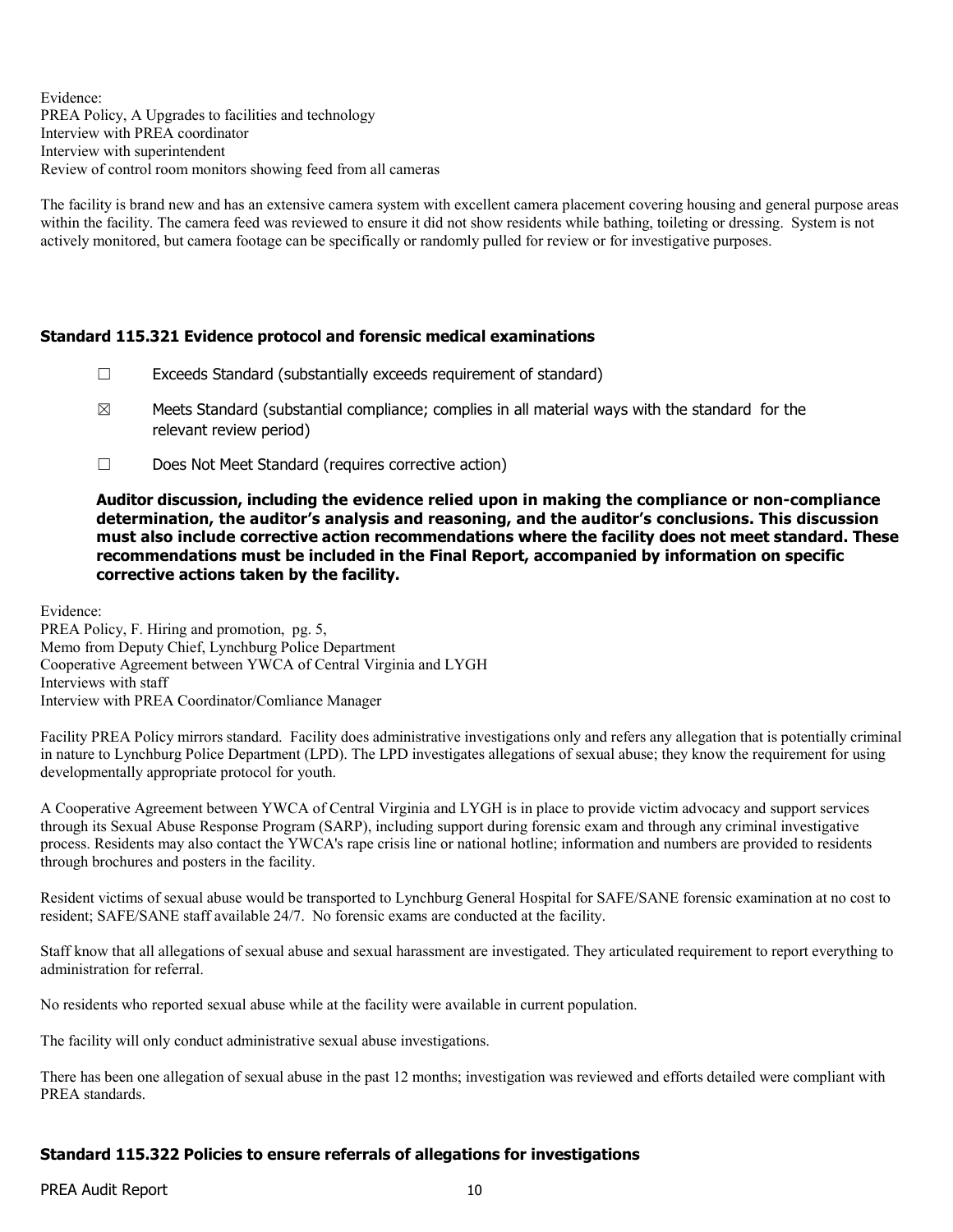Evidence: PREA Policy, A Upgrades to facilities and technology Interview with PREA coordinator Interview with superintendent Review of control room monitors showing feed from all cameras

The facility is brand new and has an extensive camera system with excellent camera placement covering housing and general purpose areas within the facility. The camera feed was reviewed to ensure it did not show residents while bathing, toileting or dressing. System is not actively monitored, but camera footage can be specifically or randomly pulled for review or for investigative purposes.

## **Standard 115.321 Evidence protocol and forensic medical examinations**

- $\Box$  Exceeds Standard (substantially exceeds requirement of standard)
- $\boxtimes$  Meets Standard (substantial compliance; complies in all material ways with the standard for the relevant review period)
- ☐ Does Not Meet Standard (requires corrective action)

**Auditor discussion, including the evidence relied upon in making the compliance or non-compliance determination, the auditor's analysis and reasoning, and the auditor's conclusions. This discussion must also include corrective action recommendations where the facility does not meet standard. These recommendations must be included in the Final Report, accompanied by information on specific corrective actions taken by the facility.**

Evidence:

PREA Policy, F. Hiring and promotion, pg. 5, Memo from Deputy Chief, Lynchburg Police Department Cooperative Agreement between YWCA of Central Virginia and LYGH Interviews with staff Interview with PREA Coordinator/Comliance Manager

Facility PREA Policy mirrors standard. Facility does administrative investigations only and refers any allegation that is potentially criminal in nature to Lynchburg Police Department (LPD). The LPD investigates allegations of sexual abuse; they know the requirement for using developmentally appropriate protocol for youth.

A Cooperative Agreement between YWCA of Central Virginia and LYGH is in place to provide victim advocacy and support services through its Sexual Abuse Response Program (SARP), including support during forensic exam and through any criminal investigative process. Residents may also contact the YWCA's rape crisis line or national hotline; information and numbers are provided to residents through brochures and posters in the facility.

Resident victims of sexual abuse would be transported to Lynchburg General Hospital for SAFE/SANE forensic examination at no cost to resident; SAFE/SANE staff available 24/7. No forensic exams are conducted at the facility.

Staff know that all allegations of sexual abuse and sexual harassment are investigated. They articulated requirement to report everything to administration for referral.

No residents who reported sexual abuse while at the facility were available in current population.

The facility will only conduct administrative sexual abuse investigations.

There has been one allegation of sexual abuse in the past 12 months; investigation was reviewed and efforts detailed were compliant with PREA standards.

# **Standard 115.322 Policies to ensure referrals of allegations for investigations**

PREA Audit Report 10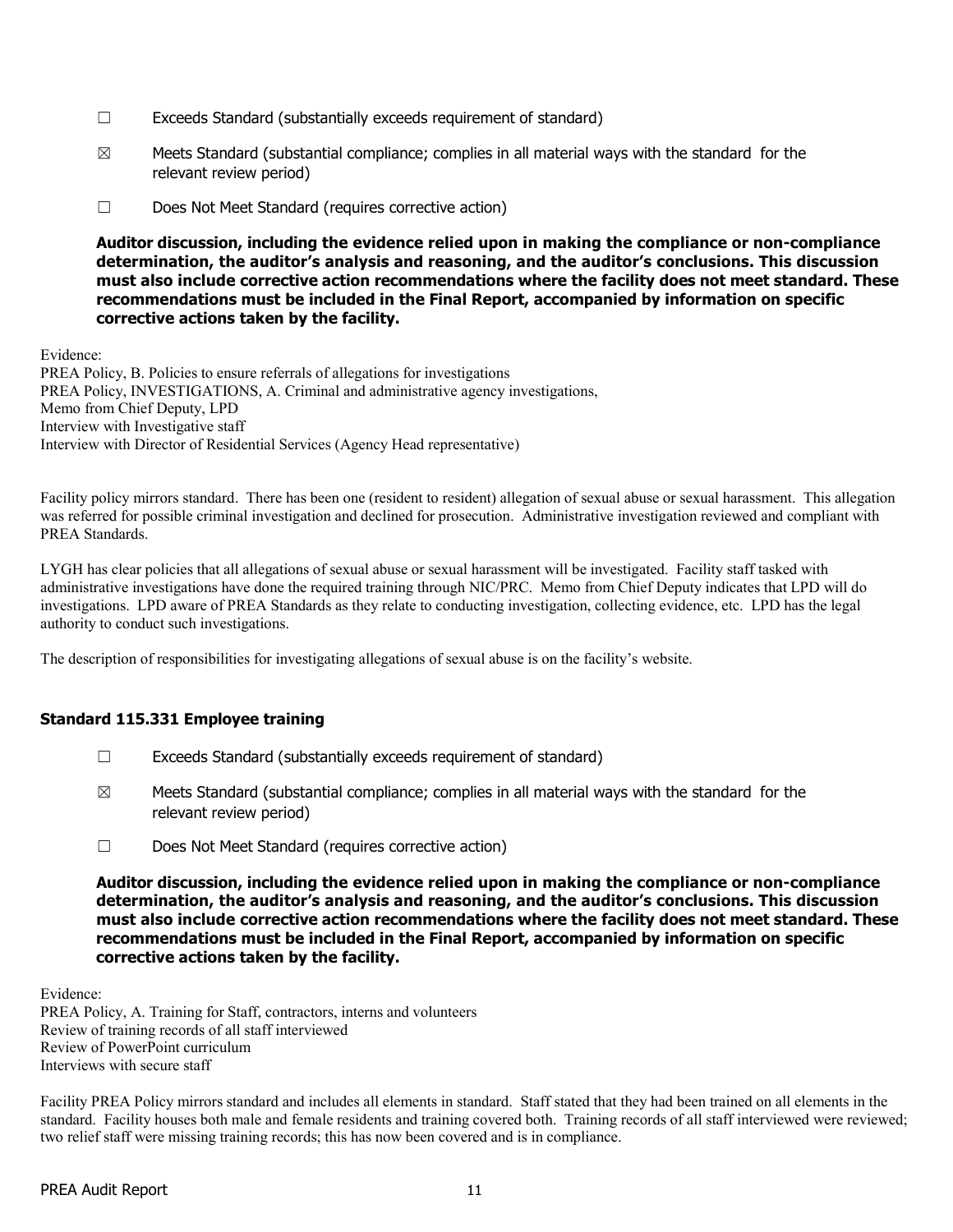- ☐ Exceeds Standard (substantially exceeds requirement of standard)
- $\boxtimes$  Meets Standard (substantial compliance; complies in all material ways with the standard for the relevant review period)
- ☐ Does Not Meet Standard (requires corrective action)

Evidence: PREA Policy, B. Policies to ensure referrals of allegations for investigations PREA Policy, INVESTIGATIONS, A. Criminal and administrative agency investigations, Memo from Chief Deputy, LPD Interview with Investigative staff Interview with Director of Residential Services (Agency Head representative)

Facility policy mirrors standard. There has been one (resident to resident) allegation of sexual abuse or sexual harassment. This allegation was referred for possible criminal investigation and declined for prosecution. Administrative investigation reviewed and compliant with PREA Standards.

LYGH has clear policies that all allegations of sexual abuse or sexual harassment will be investigated. Facility staff tasked with administrative investigations have done the required training through NIC/PRC. Memo from Chief Deputy indicates that LPD will do investigations. LPD aware of PREA Standards as they relate to conducting investigation, collecting evidence, etc. LPD has the legal authority to conduct such investigations.

The description of responsibilities for investigating allegations of sexual abuse is on the facility's website.

## **Standard 115.331 Employee training**

- ☐ Exceeds Standard (substantially exceeds requirement of standard)
- $\boxtimes$  Meets Standard (substantial compliance; complies in all material ways with the standard for the relevant review period)
- ☐ Does Not Meet Standard (requires corrective action)

**Auditor discussion, including the evidence relied upon in making the compliance or non-compliance determination, the auditor's analysis and reasoning, and the auditor's conclusions. This discussion must also include corrective action recommendations where the facility does not meet standard. These recommendations must be included in the Final Report, accompanied by information on specific corrective actions taken by the facility.**

Evidence:

PREA Policy, A. Training for Staff, contractors, interns and volunteers Review of training records of all staff interviewed Review of PowerPoint curriculum Interviews with secure staff

Facility PREA Policy mirrors standard and includes all elements in standard. Staff stated that they had been trained on all elements in the standard. Facility houses both male and female residents and training covered both. Training records of all staff interviewed were reviewed; two relief staff were missing training records; this has now been covered and is in compliance.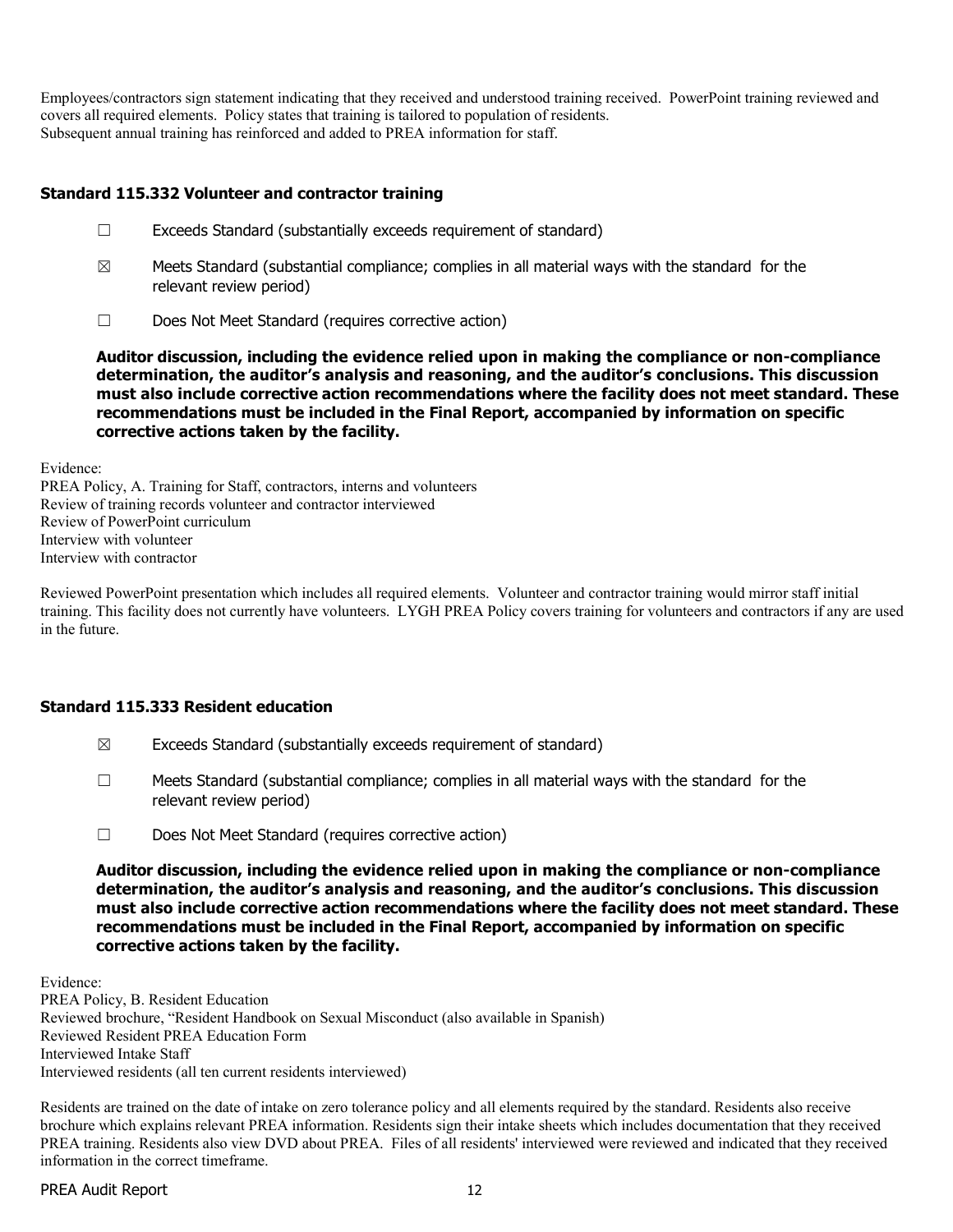Employees/contractors sign statement indicating that they received and understood training received. PowerPoint training reviewed and covers all required elements. Policy states that training is tailored to population of residents. Subsequent annual training has reinforced and added to PREA information for staff.

## **Standard 115.332 Volunteer and contractor training**

- ☐ Exceeds Standard (substantially exceeds requirement of standard)
- $\boxtimes$  Meets Standard (substantial compliance; complies in all material ways with the standard for the relevant review period)
- ☐ Does Not Meet Standard (requires corrective action)

**Auditor discussion, including the evidence relied upon in making the compliance or non-compliance determination, the auditor's analysis and reasoning, and the auditor's conclusions. This discussion must also include corrective action recommendations where the facility does not meet standard. These recommendations must be included in the Final Report, accompanied by information on specific corrective actions taken by the facility.**

Evidence:

PREA Policy, A. Training for Staff, contractors, interns and volunteers Review of training records volunteer and contractor interviewed Review of PowerPoint curriculum Interview with volunteer Interview with contractor

Reviewed PowerPoint presentation which includes all required elements. Volunteer and contractor training would mirror staff initial training. This facility does not currently have volunteers. LYGH PREA Policy covers training for volunteers and contractors if any are used in the future.

## **Standard 115.333 Resident education**

- $\boxtimes$  Exceeds Standard (substantially exceeds requirement of standard)
- $\Box$  Meets Standard (substantial compliance; complies in all material ways with the standard for the relevant review period)
- ☐ Does Not Meet Standard (requires corrective action)

**Auditor discussion, including the evidence relied upon in making the compliance or non-compliance determination, the auditor's analysis and reasoning, and the auditor's conclusions. This discussion must also include corrective action recommendations where the facility does not meet standard. These recommendations must be included in the Final Report, accompanied by information on specific corrective actions taken by the facility.**

Evidence: PREA Policy, B. Resident Education Reviewed brochure, "Resident Handbook on Sexual Misconduct (also available in Spanish) Reviewed Resident PREA Education Form Interviewed Intake Staff Interviewed residents (all ten current residents interviewed)

Residents are trained on the date of intake on zero tolerance policy and all elements required by the standard. Residents also receive brochure which explains relevant PREA information. Residents sign their intake sheets which includes documentation that they received PREA training. Residents also view DVD about PREA. Files of all residents' interviewed were reviewed and indicated that they received information in the correct timeframe.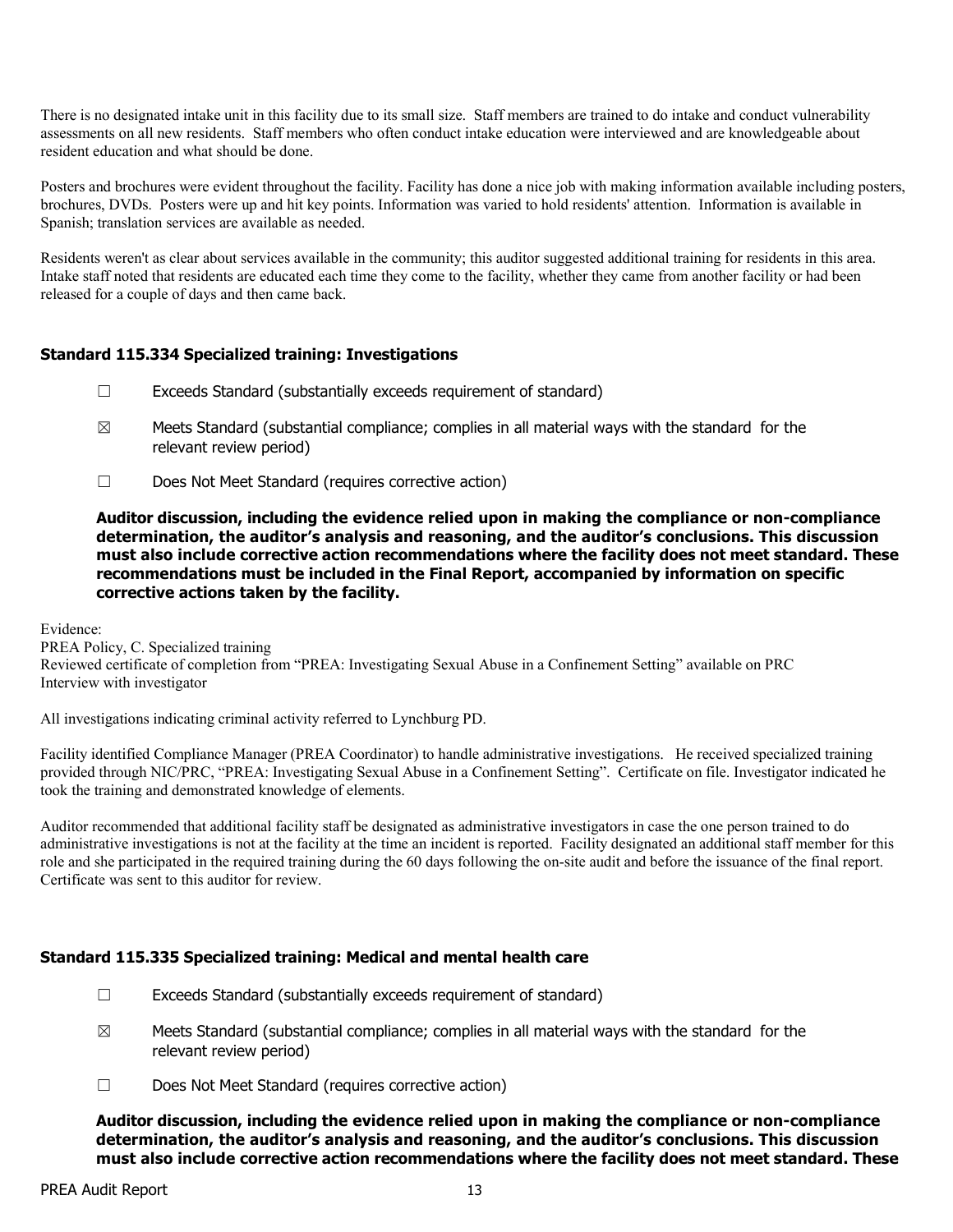There is no designated intake unit in this facility due to its small size. Staff members are trained to do intake and conduct vulnerability assessments on all new residents. Staff members who often conduct intake education were interviewed and are knowledgeable about resident education and what should be done.

Posters and brochures were evident throughout the facility. Facility has done a nice job with making information available including posters, brochures, DVDs. Posters were up and hit key points. Information was varied to hold residents' attention. Information is available in Spanish; translation services are available as needed.

Residents weren't as clear about services available in the community; this auditor suggested additional training for residents in this area. Intake staff noted that residents are educated each time they come to the facility, whether they came from another facility or had been released for a couple of days and then came back.

# **Standard 115.334 Specialized training: Investigations**

- ☐ Exceeds Standard (substantially exceeds requirement of standard)
- $\boxtimes$  Meets Standard (substantial compliance; complies in all material ways with the standard for the relevant review period)
- ☐ Does Not Meet Standard (requires corrective action)

#### **Auditor discussion, including the evidence relied upon in making the compliance or non-compliance determination, the auditor's analysis and reasoning, and the auditor's conclusions. This discussion must also include corrective action recommendations where the facility does not meet standard. These recommendations must be included in the Final Report, accompanied by information on specific corrective actions taken by the facility.**

Evidence:

PREA Policy, C. Specialized training Reviewed certificate of completion from "PREA: Investigating Sexual Abuse in a Confinement Setting" available on PRC Interview with investigator

All investigations indicating criminal activity referred to Lynchburg PD.

Facility identified Compliance Manager (PREA Coordinator) to handle administrative investigations. He received specialized training provided through NIC/PRC, "PREA: Investigating Sexual Abuse in a Confinement Setting". Certificate on file. Investigator indicated he took the training and demonstrated knowledge of elements.

Auditor recommended that additional facility staff be designated as administrative investigators in case the one person trained to do administrative investigations is not at the facility at the time an incident is reported. Facility designated an additional staff member for this role and she participated in the required training during the 60 days following the on-site audit and before the issuance of the final report. Certificate was sent to this auditor for review.

## **Standard 115.335 Specialized training: Medical and mental health care**

- $\Box$  Exceeds Standard (substantially exceeds requirement of standard)
- $\boxtimes$  Meets Standard (substantial compliance; complies in all material ways with the standard for the relevant review period)
- ☐ Does Not Meet Standard (requires corrective action)

**Auditor discussion, including the evidence relied upon in making the compliance or non-compliance determination, the auditor's analysis and reasoning, and the auditor's conclusions. This discussion must also include corrective action recommendations where the facility does not meet standard. These**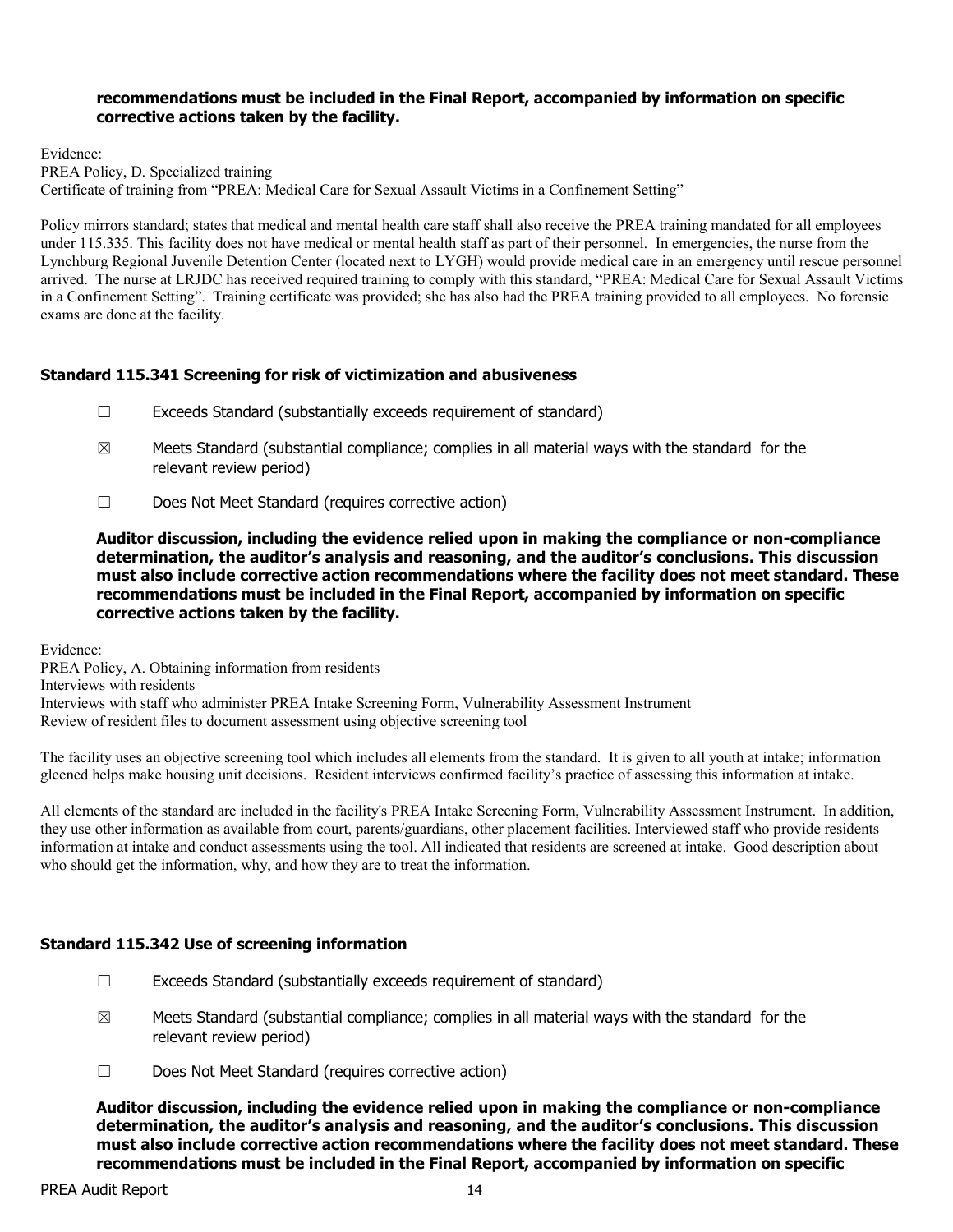#### **recommendations must be included in the Final Report, accompanied by information on specific corrective actions taken by the facility.**

Evidence: PREA Policy, D. Specialized training Certificate of training from "PREA: Medical Care for Sexual Assault Victims in a Confinement Setting"

Policy mirrors standard; states that medical and mental health care staff shall also receive the PREA training mandated for all employees under 115.335. This facility does not have medical or mental health staff as part of their personnel. In emergencies, the nurse from the Lynchburg Regional Juvenile Detention Center (located next to LYGH) would provide medical care in an emergency until rescue personnel arrived. The nurse at LRJDC has received required training to comply with this standard, "PREA: Medical Care for Sexual Assault Victims in a Confinement Setting". Training certificate was provided; she has also had the PREA training provided to all employees. No forensic exams are done at the facility.

# **Standard 115.341 Screening for risk of victimization and abusiveness**

- ☐ Exceeds Standard (substantially exceeds requirement of standard)
- $\boxtimes$  Meets Standard (substantial compliance; complies in all material ways with the standard for the relevant review period)
- ☐ Does Not Meet Standard (requires corrective action)

**Auditor discussion, including the evidence relied upon in making the compliance or non-compliance determination, the auditor's analysis and reasoning, and the auditor's conclusions. This discussion must also include corrective action recommendations where the facility does not meet standard. These recommendations must be included in the Final Report, accompanied by information on specific corrective actions taken by the facility.**

Evidence:

PREA Policy, A. Obtaining information from residents Interviews with residents Interviews with staff who administer PREA Intake Screening Form, Vulnerability Assessment Instrument Review of resident files to document assessment using objective screening tool

The facility uses an objective screening tool which includes all elements from the standard. It is given to all youth at intake; information gleened helps make housing unit decisions. Resident interviews confirmed facility's practice of assessing this information at intake.

All elements of the standard are included in the facility's PREA Intake Screening Form, Vulnerability Assessment Instrument. In addition, they use other information as available from court, parents/guardians, other placement facilities. Interviewed staff who provide residents information at intake and conduct assessments using the tool. All indicated that residents are screened at intake. Good description about who should get the information, why, and how they are to treat the information.

## **Standard 115.342 Use of screening information**

- $\Box$  Exceeds Standard (substantially exceeds requirement of standard)
- $\boxtimes$  Meets Standard (substantial compliance; complies in all material ways with the standard for the relevant review period)
- ☐ Does Not Meet Standard (requires corrective action)

**Auditor discussion, including the evidence relied upon in making the compliance or non-compliance determination, the auditor's analysis and reasoning, and the auditor's conclusions. This discussion must also include corrective action recommendations where the facility does not meet standard. These recommendations must be included in the Final Report, accompanied by information on specific**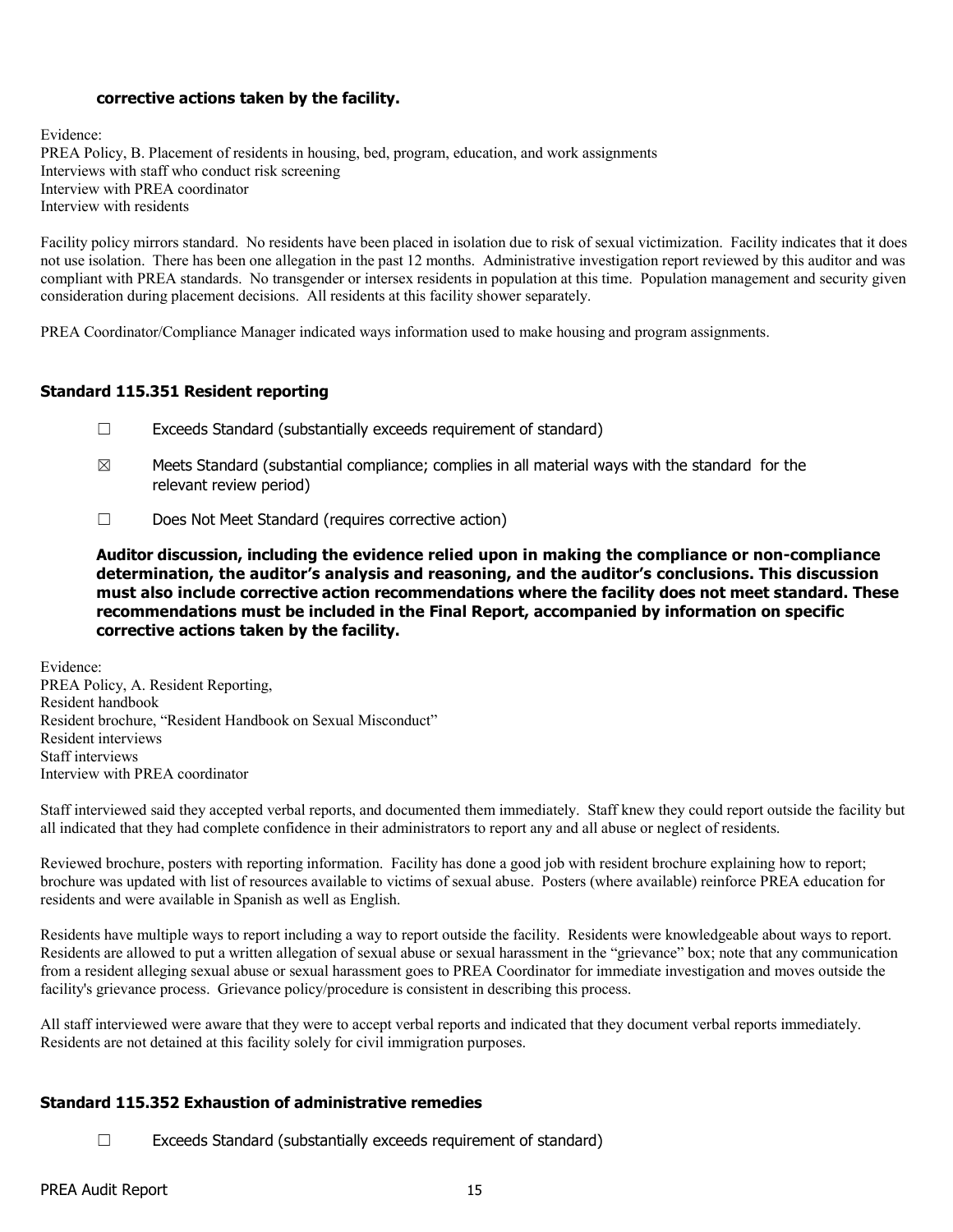## **corrective actions taken by the facility.**

Evidence: PREA Policy, B. Placement of residents in housing, bed, program, education, and work assignments Interviews with staff who conduct risk screening Interview with PREA coordinator Interview with residents

Facility policy mirrors standard. No residents have been placed in isolation due to risk of sexual victimization. Facility indicates that it does not use isolation. There has been one allegation in the past 12 months. Administrative investigation report reviewed by this auditor and was compliant with PREA standards. No transgender or intersex residents in population at this time. Population management and security given consideration during placement decisions. All residents at this facility shower separately.

PREA Coordinator/Compliance Manager indicated ways information used to make housing and program assignments.

#### **Standard 115.351 Resident reporting**

- ☐ Exceeds Standard (substantially exceeds requirement of standard)
- $\boxtimes$  Meets Standard (substantial compliance; complies in all material ways with the standard for the relevant review period)
- ☐ Does Not Meet Standard (requires corrective action)

**Auditor discussion, including the evidence relied upon in making the compliance or non-compliance determination, the auditor's analysis and reasoning, and the auditor's conclusions. This discussion must also include corrective action recommendations where the facility does not meet standard. These recommendations must be included in the Final Report, accompanied by information on specific corrective actions taken by the facility.**

Evidence: PREA Policy, A. Resident Reporting, Resident handbook Resident brochure, "Resident Handbook on Sexual Misconduct" Resident interviews Staff interviews Interview with PREA coordinator

Staff interviewed said they accepted verbal reports, and documented them immediately. Staff knew they could report outside the facility but all indicated that they had complete confidence in their administrators to report any and all abuse or neglect of residents.

Reviewed brochure, posters with reporting information. Facility has done a good job with resident brochure explaining how to report; brochure was updated with list of resources available to victims of sexual abuse. Posters (where available) reinforce PREA education for residents and were available in Spanish as well as English.

Residents have multiple ways to report including a way to report outside the facility. Residents were knowledgeable about ways to report. Residents are allowed to put a written allegation of sexual abuse or sexual harassment in the "grievance" box; note that any communication from a resident alleging sexual abuse or sexual harassment goes to PREA Coordinator for immediate investigation and moves outside the facility's grievance process. Grievance policy/procedure is consistent in describing this process.

All staff interviewed were aware that they were to accept verbal reports and indicated that they document verbal reports immediately. Residents are not detained at this facility solely for civil immigration purposes.

## **Standard 115.352 Exhaustion of administrative remedies**

☐ Exceeds Standard (substantially exceeds requirement of standard)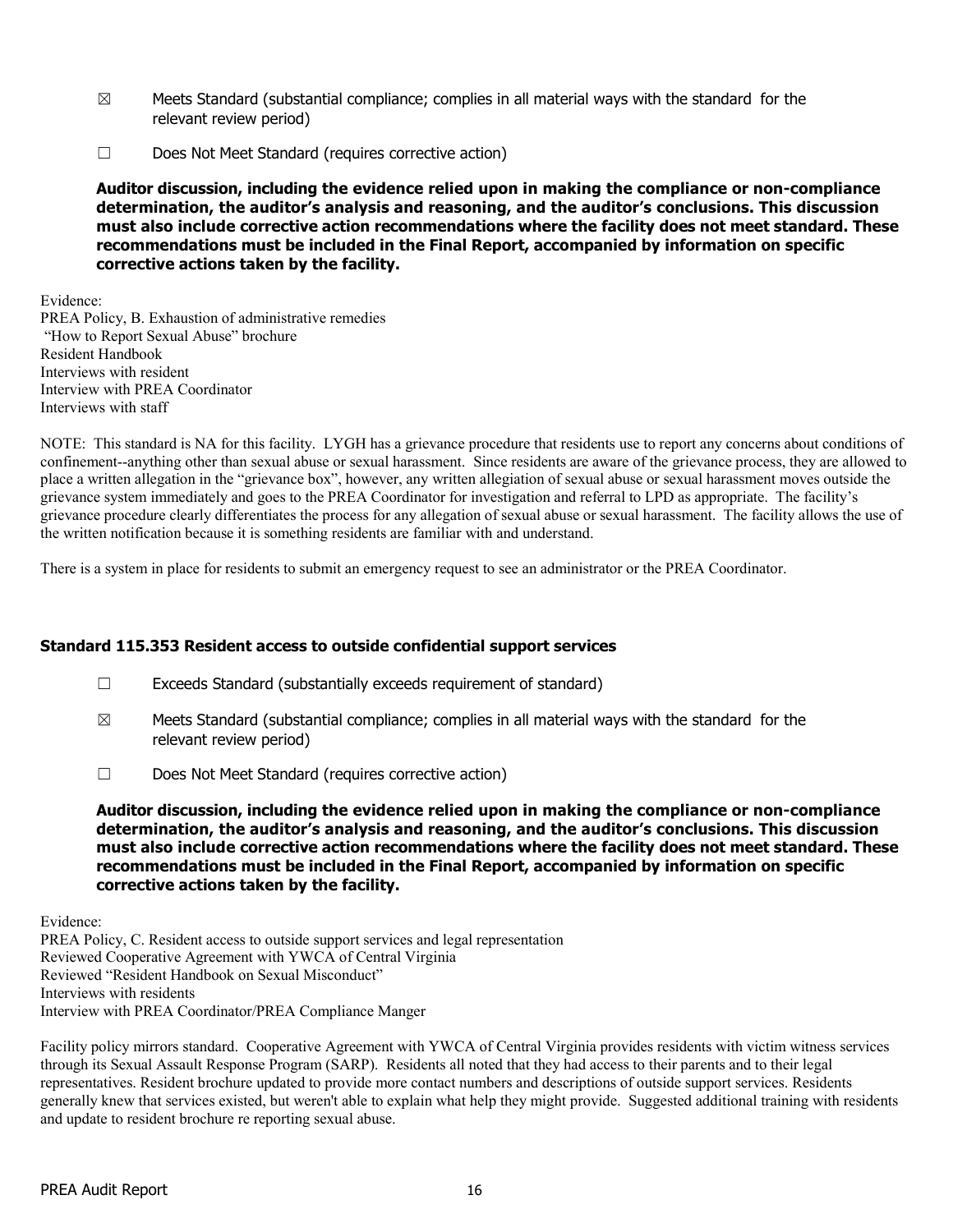- $\boxtimes$  Meets Standard (substantial compliance; complies in all material ways with the standard for the relevant review period)
- ☐ Does Not Meet Standard (requires corrective action)

Evidence:

PREA Policy, B. Exhaustion of administrative remedies "How to Report Sexual Abuse" brochure Resident Handbook Interviews with resident Interview with PREA Coordinator Interviews with staff

NOTE: This standard is NA for this facility. LYGH has a grievance procedure that residents use to report any concerns about conditions of confinement--anything other than sexual abuse or sexual harassment. Since residents are aware of the grievance process, they are allowed to place a written allegation in the "grievance box", however, any written allegiation of sexual abuse or sexual harassment moves outside the grievance system immediately and goes to the PREA Coordinator for investigation and referral to LPD as appropriate. The facility's grievance procedure clearly differentiates the process for any allegation of sexual abuse or sexual harassment. The facility allows the use of the written notification because it is something residents are familiar with and understand.

There is a system in place for residents to submit an emergency request to see an administrator or the PREA Coordinator.

## **Standard 115.353 Resident access to outside confidential support services**

- ☐ Exceeds Standard (substantially exceeds requirement of standard)
- $\boxtimes$  Meets Standard (substantial compliance; complies in all material ways with the standard for the relevant review period)
- ☐ Does Not Meet Standard (requires corrective action)

**Auditor discussion, including the evidence relied upon in making the compliance or non-compliance determination, the auditor's analysis and reasoning, and the auditor's conclusions. This discussion must also include corrective action recommendations where the facility does not meet standard. These recommendations must be included in the Final Report, accompanied by information on specific corrective actions taken by the facility.**

Evidence:

PREA Policy, C. Resident access to outside support services and legal representation Reviewed Cooperative Agreement with YWCA of Central Virginia Reviewed "Resident Handbook on Sexual Misconduct" Interviews with residents Interview with PREA Coordinator/PREA Compliance Manger

Facility policy mirrors standard. Cooperative Agreement with YWCA of Central Virginia provides residents with victim witness services through its Sexual Assault Response Program (SARP). Residents all noted that they had access to their parents and to their legal representatives. Resident brochure updated to provide more contact numbers and descriptions of outside support services. Residents generally knew that services existed, but weren't able to explain what help they might provide. Suggested additional training with residents and update to resident brochure re reporting sexual abuse.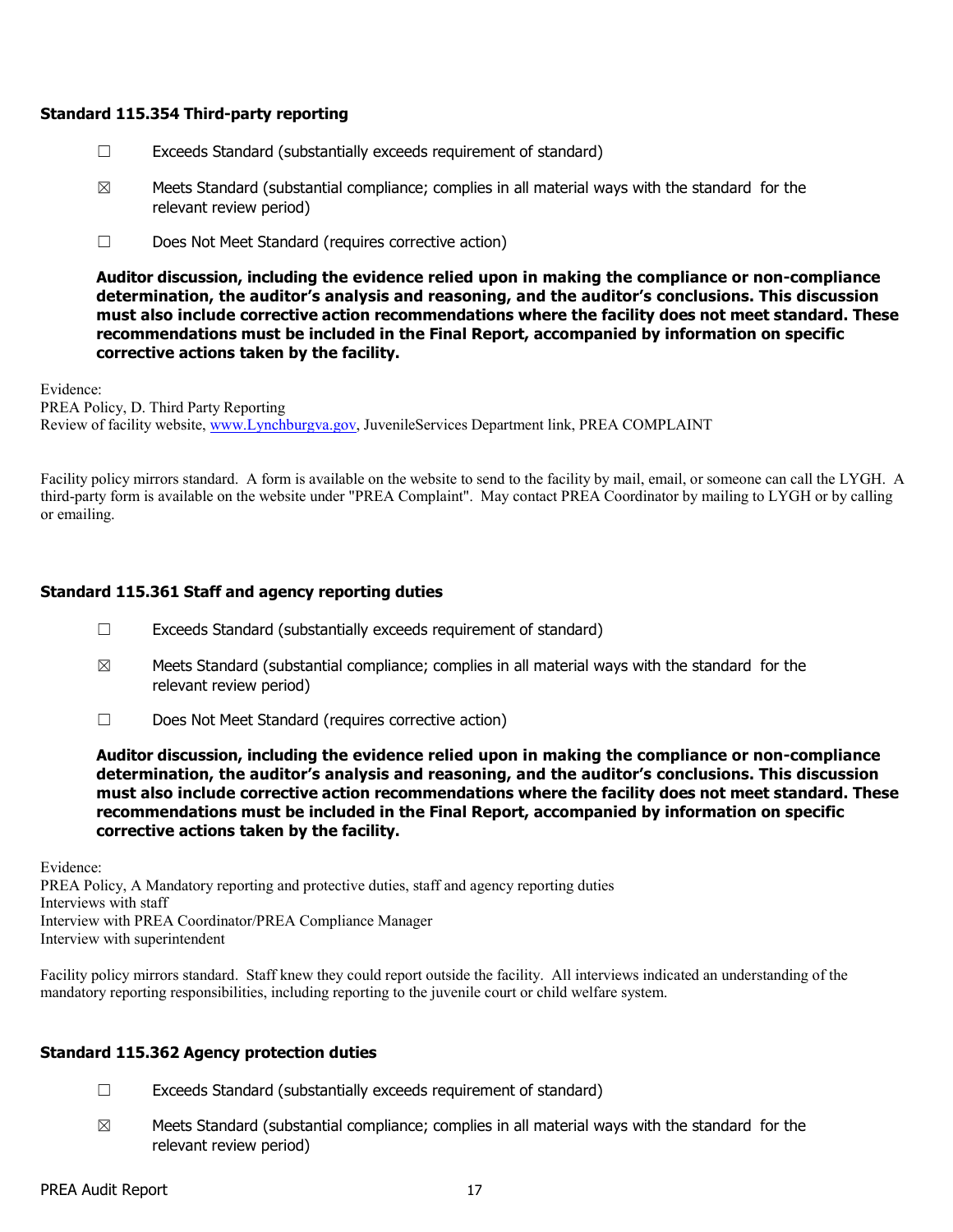#### **Standard 115.354 Third-party reporting**

- $\Box$  Exceeds Standard (substantially exceeds requirement of standard)
- $\boxtimes$  Meets Standard (substantial compliance; complies in all material ways with the standard for the relevant review period)
- ☐ Does Not Meet Standard (requires corrective action)

**Auditor discussion, including the evidence relied upon in making the compliance or non-compliance determination, the auditor's analysis and reasoning, and the auditor's conclusions. This discussion must also include corrective action recommendations where the facility does not meet standard. These recommendations must be included in the Final Report, accompanied by information on specific corrective actions taken by the facility.**

Evidence: PREA Policy, D. Third Party Reporting Review of facility website, [www.Lynchburgva.gov,](http://www.lynchburgva.gov/) JuvenileServices Department link, PREA COMPLAINT

Facility policy mirrors standard. A form is available on the website to send to the facility by mail, email, or someone can call the LYGH. A third-party form is available on the website under "PREA Complaint". May contact PREA Coordinator by mailing to LYGH or by calling or emailing.

# **Standard 115.361 Staff and agency reporting duties**

- ☐ Exceeds Standard (substantially exceeds requirement of standard)
- $\boxtimes$  Meets Standard (substantial compliance; complies in all material ways with the standard for the relevant review period)
- ☐ Does Not Meet Standard (requires corrective action)

**Auditor discussion, including the evidence relied upon in making the compliance or non-compliance determination, the auditor's analysis and reasoning, and the auditor's conclusions. This discussion must also include corrective action recommendations where the facility does not meet standard. These recommendations must be included in the Final Report, accompanied by information on specific corrective actions taken by the facility.**

Evidence:

PREA Policy, A Mandatory reporting and protective duties, staff and agency reporting duties Interviews with staff Interview with PREA Coordinator/PREA Compliance Manager Interview with superintendent

Facility policy mirrors standard. Staff knew they could report outside the facility. All interviews indicated an understanding of the mandatory reporting responsibilities, including reporting to the juvenile court or child welfare system.

## **Standard 115.362 Agency protection duties**

- ☐ Exceeds Standard (substantially exceeds requirement of standard)
- $\boxtimes$  Meets Standard (substantial compliance; complies in all material ways with the standard for the relevant review period)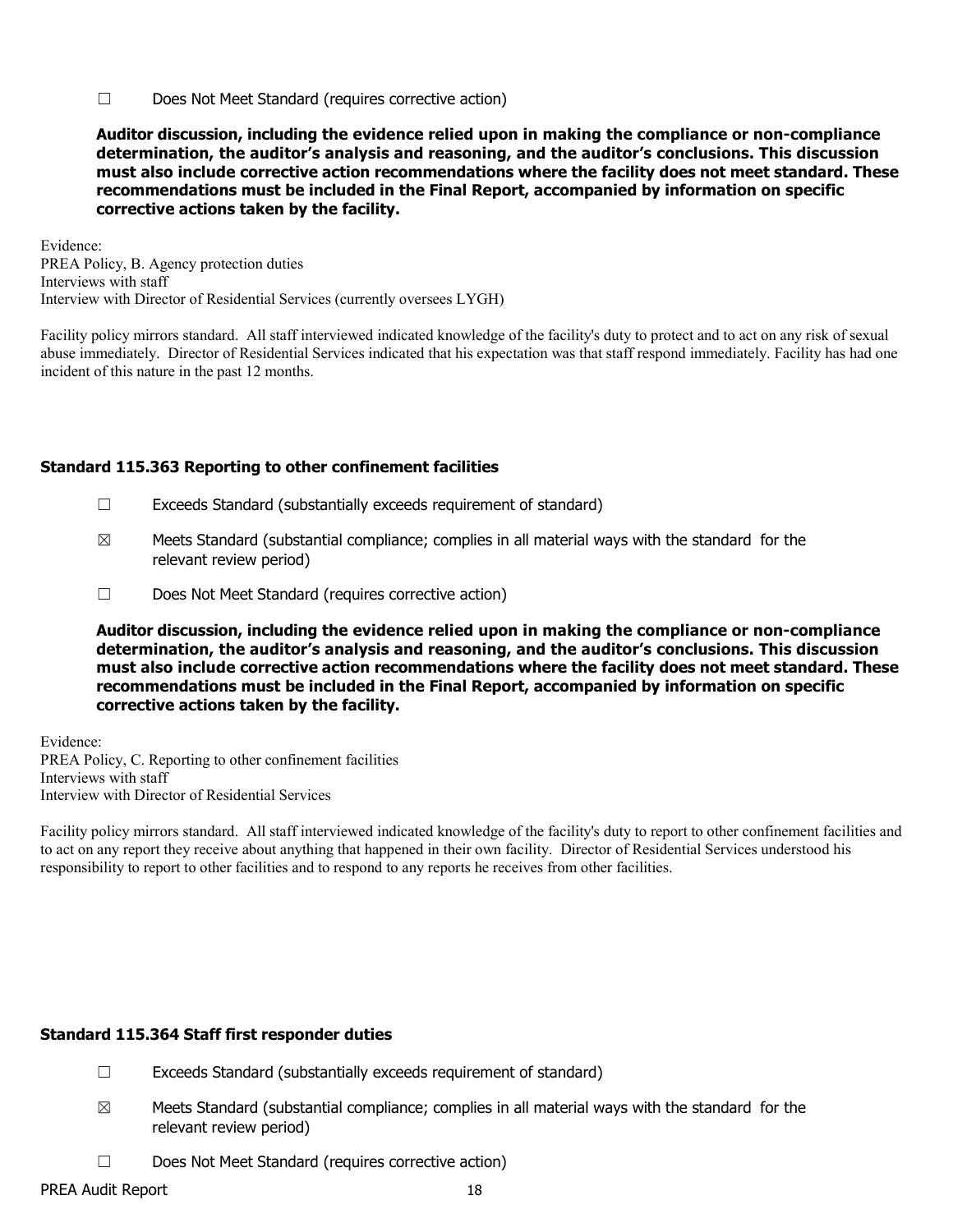☐ Does Not Meet Standard (requires corrective action)

**Auditor discussion, including the evidence relied upon in making the compliance or non-compliance determination, the auditor's analysis and reasoning, and the auditor's conclusions. This discussion must also include corrective action recommendations where the facility does not meet standard. These recommendations must be included in the Final Report, accompanied by information on specific corrective actions taken by the facility.**

Evidence: PREA Policy, B. Agency protection duties Interviews with staff Interview with Director of Residential Services (currently oversees LYGH)

Facility policy mirrors standard. All staff interviewed indicated knowledge of the facility's duty to protect and to act on any risk of sexual abuse immediately. Director of Residential Services indicated that his expectation was that staff respond immediately. Facility has had one incident of this nature in the past 12 months.

# **Standard 115.363 Reporting to other confinement facilities**

- ☐ Exceeds Standard (substantially exceeds requirement of standard)
- $\boxtimes$  Meets Standard (substantial compliance; complies in all material ways with the standard for the relevant review period)
- ☐ Does Not Meet Standard (requires corrective action)

**Auditor discussion, including the evidence relied upon in making the compliance or non-compliance determination, the auditor's analysis and reasoning, and the auditor's conclusions. This discussion must also include corrective action recommendations where the facility does not meet standard. These recommendations must be included in the Final Report, accompanied by information on specific corrective actions taken by the facility.**

Evidence: PREA Policy, C. Reporting to other confinement facilities Interviews with staff Interview with Director of Residential Services

Facility policy mirrors standard. All staff interviewed indicated knowledge of the facility's duty to report to other confinement facilities and to act on any report they receive about anything that happened in their own facility. Director of Residential Services understood his responsibility to report to other facilities and to respond to any reports he receives from other facilities.

#### **Standard 115.364 Staff first responder duties**

- ☐ Exceeds Standard (substantially exceeds requirement of standard)
- $\boxtimes$  Meets Standard (substantial compliance; complies in all material ways with the standard for the relevant review period)
- ☐ Does Not Meet Standard (requires corrective action)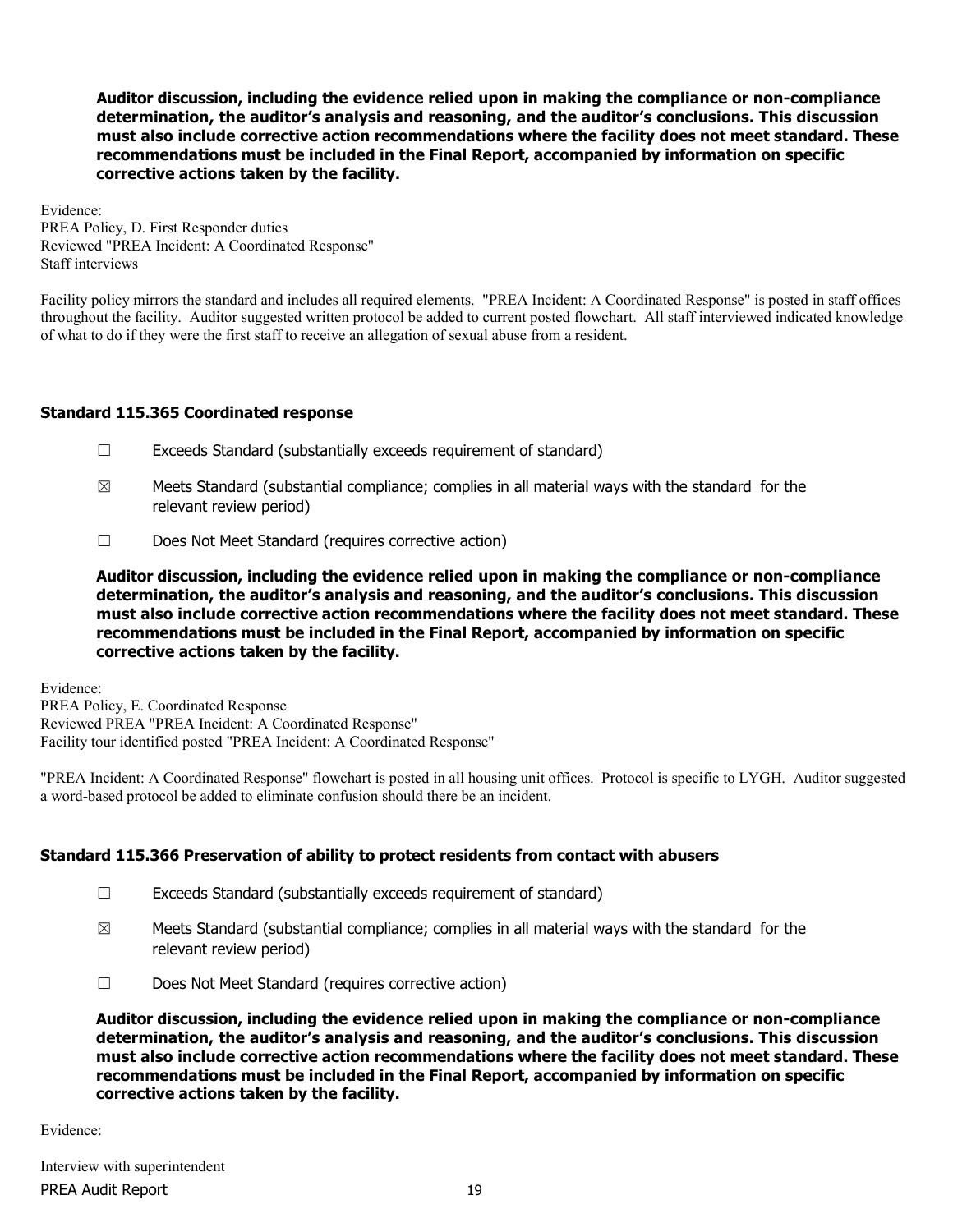Evidence: PREA Policy, D. First Responder duties Reviewed "PREA Incident: A Coordinated Response" Staff interviews

Facility policy mirrors the standard and includes all required elements. "PREA Incident: A Coordinated Response" is posted in staff offices throughout the facility. Auditor suggested written protocol be added to current posted flowchart. All staff interviewed indicated knowledge of what to do if they were the first staff to receive an allegation of sexual abuse from a resident.

# **Standard 115.365 Coordinated response**

- ☐ Exceeds Standard (substantially exceeds requirement of standard)
- $\boxtimes$  Meets Standard (substantial compliance; complies in all material ways with the standard for the relevant review period)
- ☐ Does Not Meet Standard (requires corrective action)

**Auditor discussion, including the evidence relied upon in making the compliance or non-compliance determination, the auditor's analysis and reasoning, and the auditor's conclusions. This discussion must also include corrective action recommendations where the facility does not meet standard. These recommendations must be included in the Final Report, accompanied by information on specific corrective actions taken by the facility.**

Evidence: PREA Policy, E. Coordinated Response Reviewed PREA "PREA Incident: A Coordinated Response" Facility tour identified posted "PREA Incident: A Coordinated Response"

"PREA Incident: A Coordinated Response" flowchart is posted in all housing unit offices. Protocol is specific to LYGH. Auditor suggested a word-based protocol be added to eliminate confusion should there be an incident.

## **Standard 115.366 Preservation of ability to protect residents from contact with abusers**

- ☐ Exceeds Standard (substantially exceeds requirement of standard)
- $\boxtimes$  Meets Standard (substantial compliance; complies in all material ways with the standard for the relevant review period)
- ☐ Does Not Meet Standard (requires corrective action)

**Auditor discussion, including the evidence relied upon in making the compliance or non-compliance determination, the auditor's analysis and reasoning, and the auditor's conclusions. This discussion must also include corrective action recommendations where the facility does not meet standard. These recommendations must be included in the Final Report, accompanied by information on specific corrective actions taken by the facility.**

Evidence: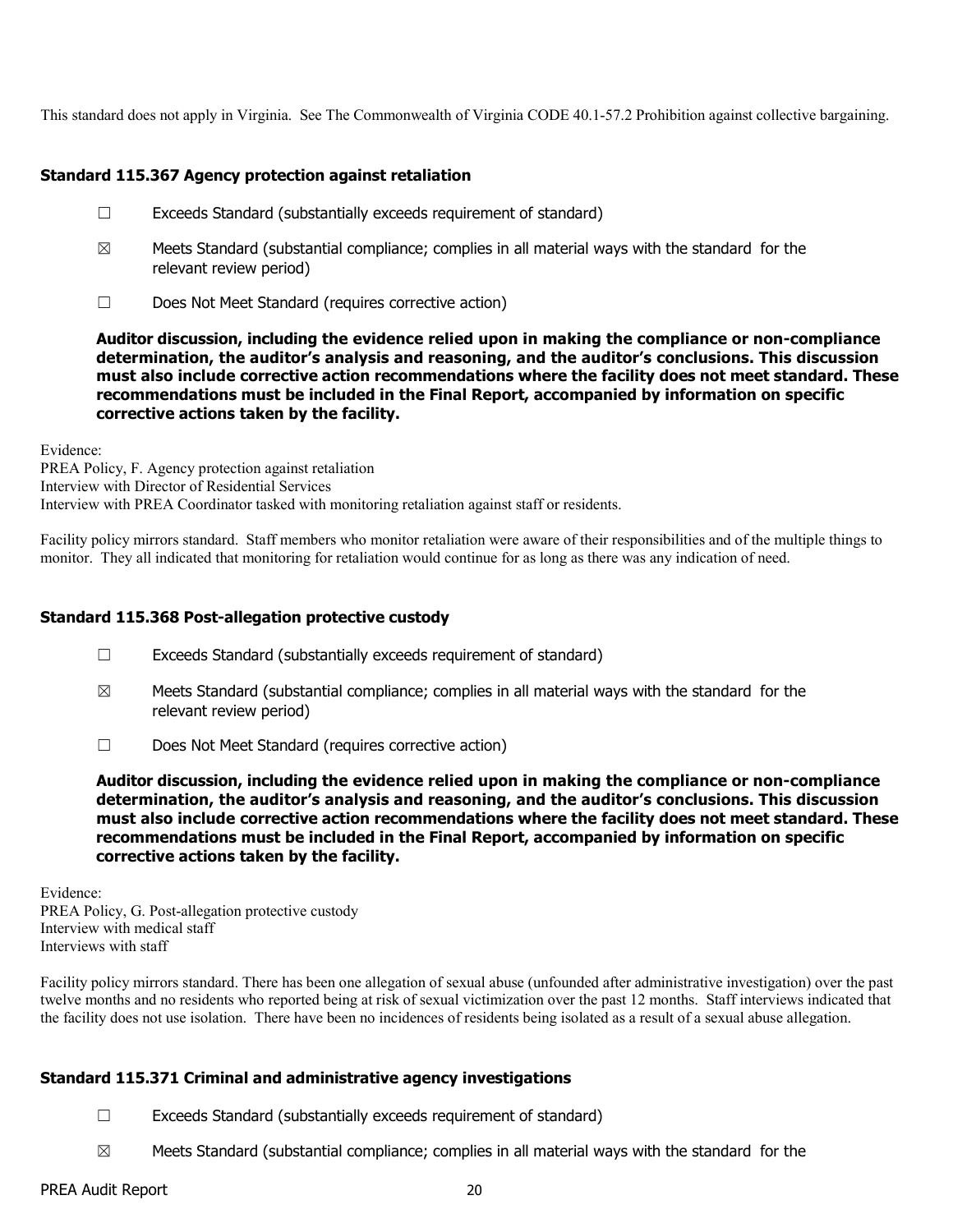This standard does not apply in Virginia. See The Commonwealth of Virginia CODE 40.1-57.2 Prohibition against collective bargaining.

## **Standard 115.367 Agency protection against retaliation**

- ☐ Exceeds Standard (substantially exceeds requirement of standard)
- $\boxtimes$  Meets Standard (substantial compliance; complies in all material ways with the standard for the relevant review period)
- ☐ Does Not Meet Standard (requires corrective action)

**Auditor discussion, including the evidence relied upon in making the compliance or non-compliance determination, the auditor's analysis and reasoning, and the auditor's conclusions. This discussion must also include corrective action recommendations where the facility does not meet standard. These recommendations must be included in the Final Report, accompanied by information on specific corrective actions taken by the facility.**

Evidence:

PREA Policy, F. Agency protection against retaliation Interview with Director of Residential Services Interview with PREA Coordinator tasked with monitoring retaliation against staff or residents.

Facility policy mirrors standard. Staff members who monitor retaliation were aware of their responsibilities and of the multiple things to monitor. They all indicated that monitoring for retaliation would continue for as long as there was any indication of need.

## **Standard 115.368 Post-allegation protective custody**

- ☐ Exceeds Standard (substantially exceeds requirement of standard)
- $\boxtimes$  Meets Standard (substantial compliance; complies in all material ways with the standard for the relevant review period)
- ☐ Does Not Meet Standard (requires corrective action)

**Auditor discussion, including the evidence relied upon in making the compliance or non-compliance determination, the auditor's analysis and reasoning, and the auditor's conclusions. This discussion must also include corrective action recommendations where the facility does not meet standard. These recommendations must be included in the Final Report, accompanied by information on specific corrective actions taken by the facility.**

Evidence:

PREA Policy, G. Post-allegation protective custody Interview with medical staff Interviews with staff

Facility policy mirrors standard. There has been one allegation of sexual abuse (unfounded after administrative investigation) over the past twelve months and no residents who reported being at risk of sexual victimization over the past 12 months. Staff interviews indicated that the facility does not use isolation. There have been no incidences of residents being isolated as a result of a sexual abuse allegation.

## **Standard 115.371 Criminal and administrative agency investigations**

- ☐ Exceeds Standard (substantially exceeds requirement of standard)
- $\boxtimes$  Meets Standard (substantial compliance; complies in all material ways with the standard for the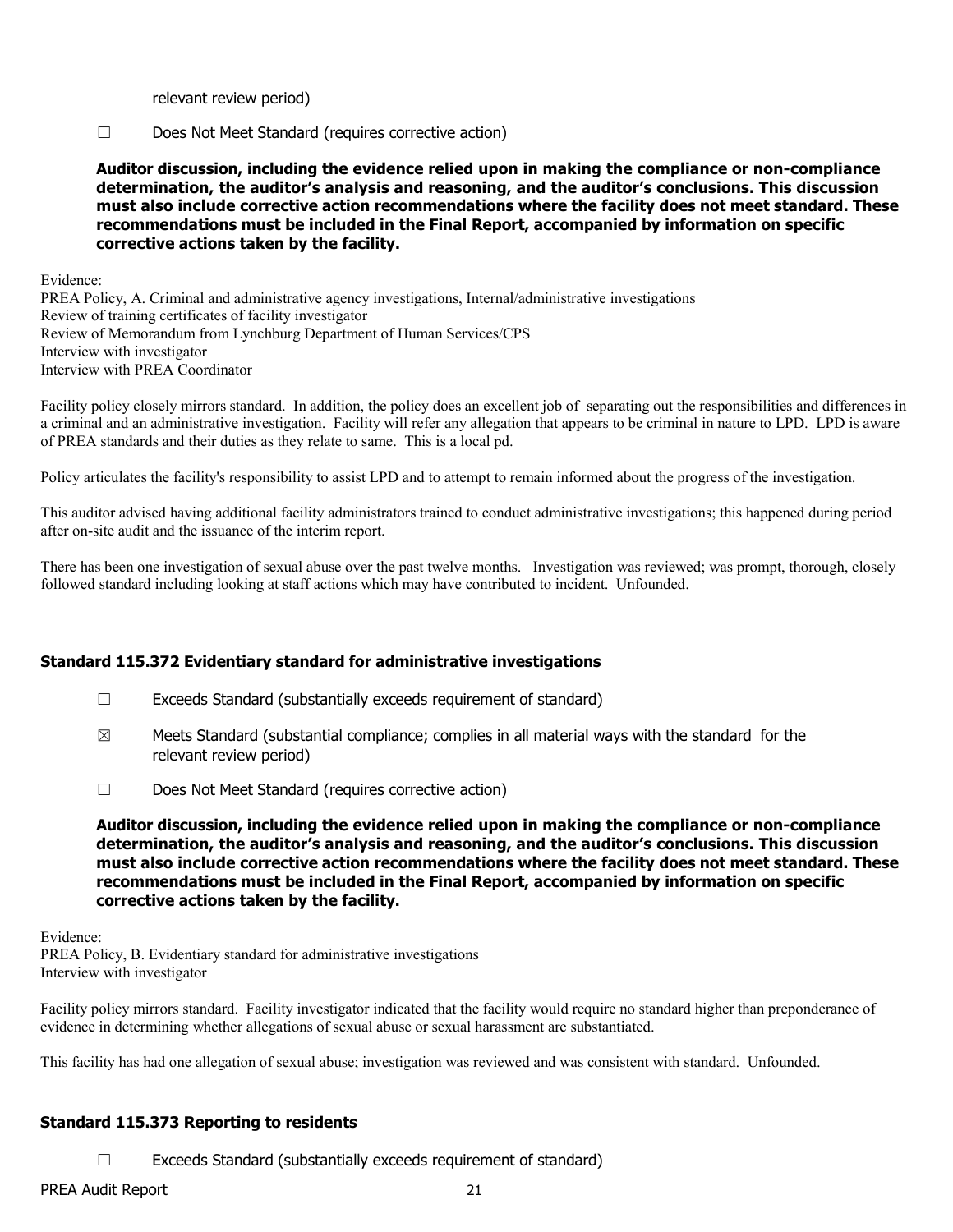relevant review period)

☐ Does Not Meet Standard (requires corrective action)

**Auditor discussion, including the evidence relied upon in making the compliance or non-compliance determination, the auditor's analysis and reasoning, and the auditor's conclusions. This discussion must also include corrective action recommendations where the facility does not meet standard. These recommendations must be included in the Final Report, accompanied by information on specific corrective actions taken by the facility.**

Evidence:

PREA Policy, A. Criminal and administrative agency investigations, Internal/administrative investigations Review of training certificates of facility investigator Review of Memorandum from Lynchburg Department of Human Services/CPS Interview with investigator Interview with PREA Coordinator

Facility policy closely mirrors standard. In addition, the policy does an excellent job of separating out the responsibilities and differences in a criminal and an administrative investigation. Facility will refer any allegation that appears to be criminal in nature to LPD. LPD is aware of PREA standards and their duties as they relate to same. This is a local pd.

Policy articulates the facility's responsibility to assist LPD and to attempt to remain informed about the progress of the investigation.

This auditor advised having additional facility administrators trained to conduct administrative investigations; this happened during period after on-site audit and the issuance of the interim report.

There has been one investigation of sexual abuse over the past twelve months. Investigation was reviewed; was prompt, thorough, closely followed standard including looking at staff actions which may have contributed to incident. Unfounded.

## **Standard 115.372 Evidentiary standard for administrative investigations**

- $\Box$  Exceeds Standard (substantially exceeds requirement of standard)
- $\boxtimes$  Meets Standard (substantial compliance; complies in all material ways with the standard for the relevant review period)
- ☐ Does Not Meet Standard (requires corrective action)

**Auditor discussion, including the evidence relied upon in making the compliance or non-compliance determination, the auditor's analysis and reasoning, and the auditor's conclusions. This discussion must also include corrective action recommendations where the facility does not meet standard. These recommendations must be included in the Final Report, accompanied by information on specific corrective actions taken by the facility.**

Evidence: PREA Policy, B. Evidentiary standard for administrative investigations Interview with investigator

Facility policy mirrors standard. Facility investigator indicated that the facility would require no standard higher than preponderance of evidence in determining whether allegations of sexual abuse or sexual harassment are substantiated.

This facility has had one allegation of sexual abuse; investigation was reviewed and was consistent with standard. Unfounded.

#### **Standard 115.373 Reporting to residents**

 $\Box$  Exceeds Standard (substantially exceeds requirement of standard)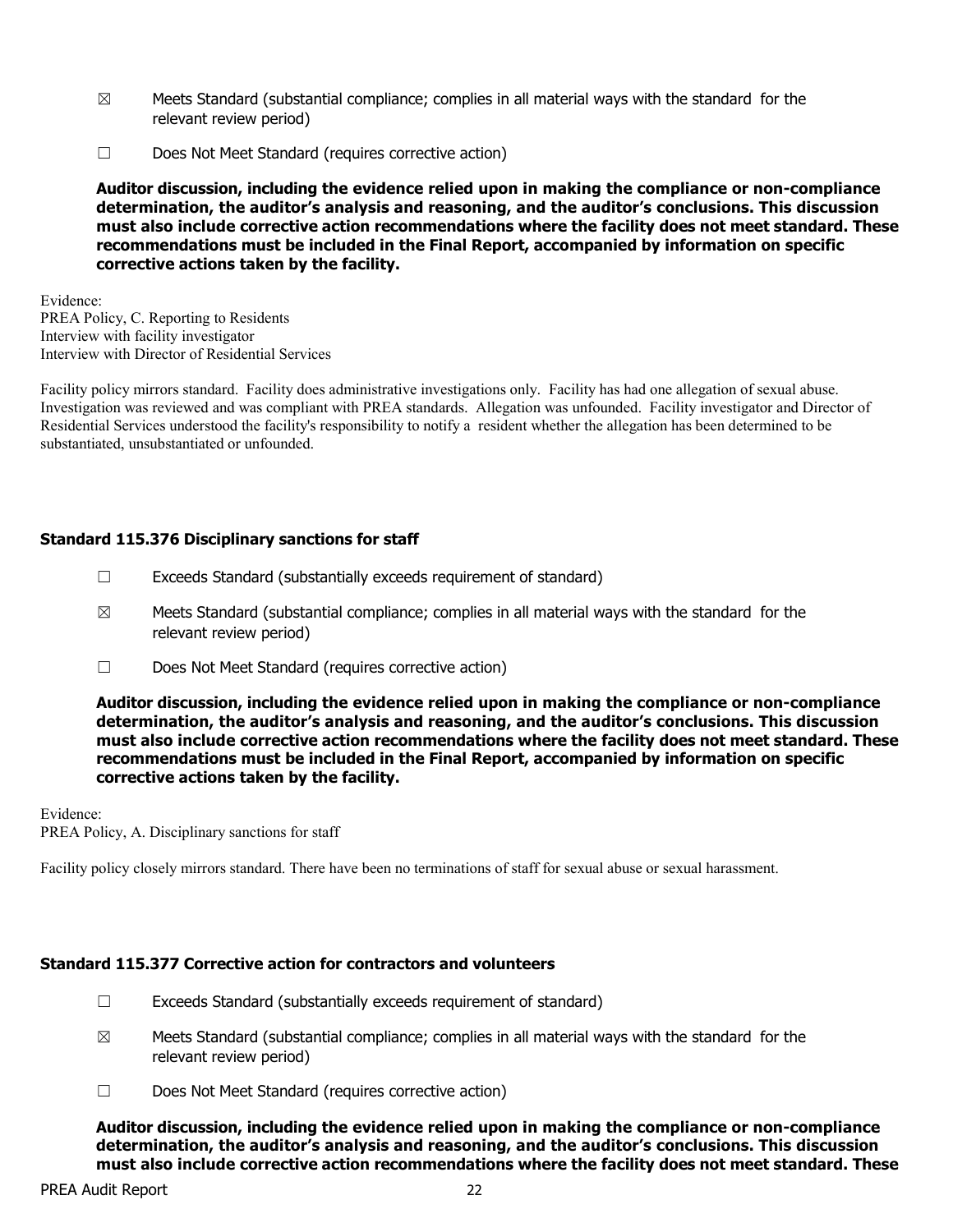- $\boxtimes$  Meets Standard (substantial compliance; complies in all material ways with the standard for the relevant review period)
- ☐ Does Not Meet Standard (requires corrective action)

Evidence: PREA Policy, C. Reporting to Residents Interview with facility investigator Interview with Director of Residential Services

Facility policy mirrors standard. Facility does administrative investigations only. Facility has had one allegation of sexual abuse. Investigation was reviewed and was compliant with PREA standards. Allegation was unfounded. Facility investigator and Director of Residential Services understood the facility's responsibility to notify a resident whether the allegation has been determined to be substantiated, unsubstantiated or unfounded.

# **Standard 115.376 Disciplinary sanctions for staff**

- $\Box$  Exceeds Standard (substantially exceeds requirement of standard)
- $\boxtimes$  Meets Standard (substantial compliance; complies in all material ways with the standard for the relevant review period)
- ☐ Does Not Meet Standard (requires corrective action)

**Auditor discussion, including the evidence relied upon in making the compliance or non-compliance determination, the auditor's analysis and reasoning, and the auditor's conclusions. This discussion must also include corrective action recommendations where the facility does not meet standard. These recommendations must be included in the Final Report, accompanied by information on specific corrective actions taken by the facility.**

Evidence:

PREA Policy, A. Disciplinary sanctions for staff

Facility policy closely mirrors standard. There have been no terminations of staff for sexual abuse or sexual harassment.

## **Standard 115.377 Corrective action for contractors and volunteers**

- ☐ Exceeds Standard (substantially exceeds requirement of standard)
- $\boxtimes$  Meets Standard (substantial compliance; complies in all material ways with the standard for the relevant review period)
- ☐ Does Not Meet Standard (requires corrective action)

**Auditor discussion, including the evidence relied upon in making the compliance or non-compliance determination, the auditor's analysis and reasoning, and the auditor's conclusions. This discussion must also include corrective action recommendations where the facility does not meet standard. These**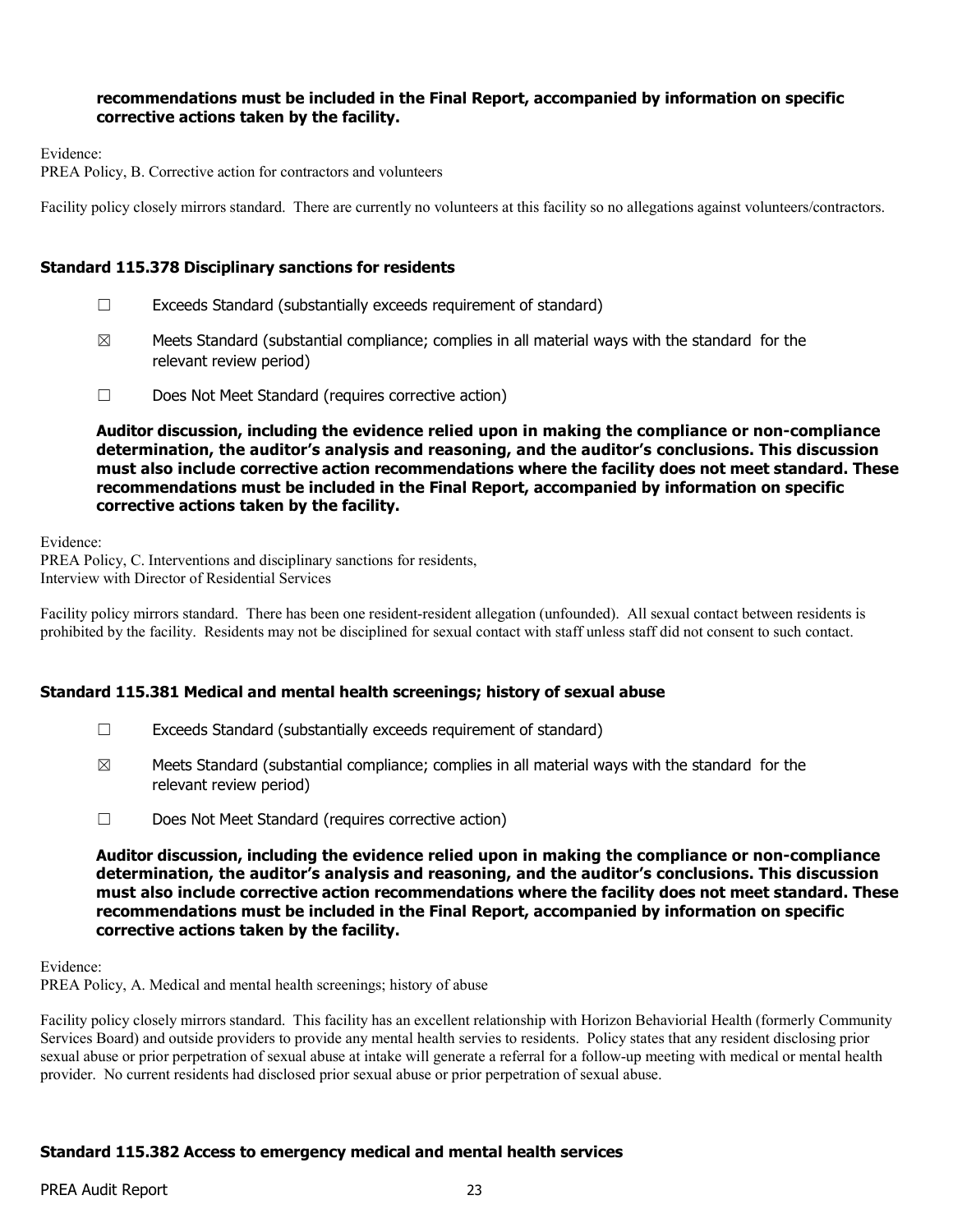## **recommendations must be included in the Final Report, accompanied by information on specific corrective actions taken by the facility.**

Evidence:

PREA Policy, B. Corrective action for contractors and volunteers

Facility policy closely mirrors standard. There are currently no volunteers at this facility so no allegations against volunteers/contractors.

#### **Standard 115.378 Disciplinary sanctions for residents**

- ☐ Exceeds Standard (substantially exceeds requirement of standard)
- $\boxtimes$  Meets Standard (substantial compliance; complies in all material ways with the standard for the relevant review period)
- ☐ Does Not Meet Standard (requires corrective action)

**Auditor discussion, including the evidence relied upon in making the compliance or non-compliance determination, the auditor's analysis and reasoning, and the auditor's conclusions. This discussion must also include corrective action recommendations where the facility does not meet standard. These recommendations must be included in the Final Report, accompanied by information on specific corrective actions taken by the facility.**

Evidence:

PREA Policy, C. Interventions and disciplinary sanctions for residents, Interview with Director of Residential Services

Facility policy mirrors standard. There has been one resident-resident allegation (unfounded). All sexual contact between residents is prohibited by the facility. Residents may not be disciplined for sexual contact with staff unless staff did not consent to such contact.

## **Standard 115.381 Medical and mental health screenings; history of sexual abuse**

- ☐ Exceeds Standard (substantially exceeds requirement of standard)
- $\boxtimes$  Meets Standard (substantial compliance; complies in all material ways with the standard for the relevant review period)
- ☐ Does Not Meet Standard (requires corrective action)

**Auditor discussion, including the evidence relied upon in making the compliance or non-compliance determination, the auditor's analysis and reasoning, and the auditor's conclusions. This discussion must also include corrective action recommendations where the facility does not meet standard. These recommendations must be included in the Final Report, accompanied by information on specific corrective actions taken by the facility.**

Evidence:

PREA Policy, A. Medical and mental health screenings; history of abuse

Facility policy closely mirrors standard. This facility has an excellent relationship with Horizon Behaviorial Health (formerly Community Services Board) and outside providers to provide any mental health servies to residents. Policy states that any resident disclosing prior sexual abuse or prior perpetration of sexual abuse at intake will generate a referral for a follow-up meeting with medical or mental health provider. No current residents had disclosed prior sexual abuse or prior perpetration of sexual abuse.

## **Standard 115.382 Access to emergency medical and mental health services**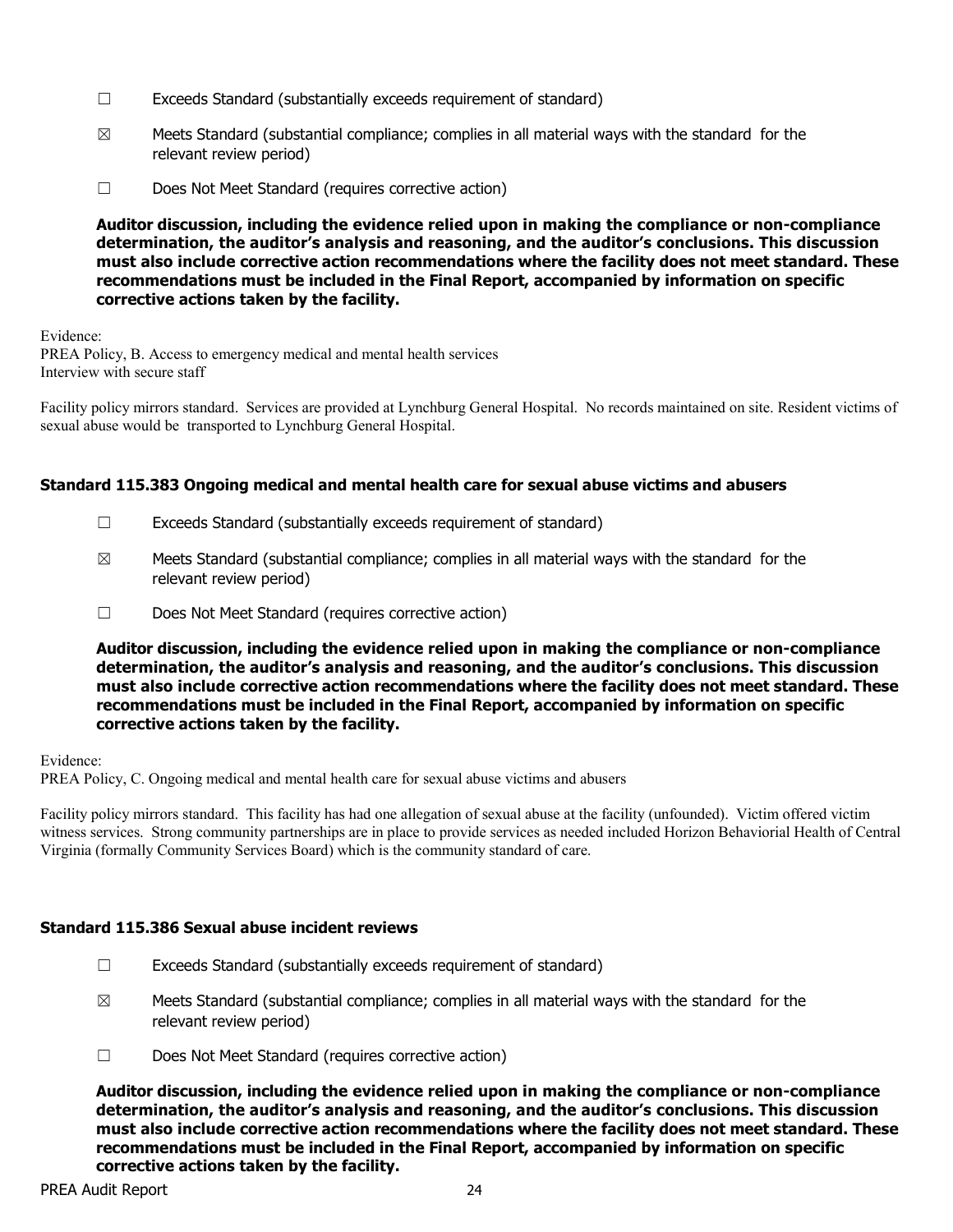- ☐ Exceeds Standard (substantially exceeds requirement of standard)
- $\boxtimes$  Meets Standard (substantial compliance; complies in all material ways with the standard for the relevant review period)
- ☐ Does Not Meet Standard (requires corrective action)

Evidence: PREA Policy, B. Access to emergency medical and mental health services Interview with secure staff

Facility policy mirrors standard. Services are provided at Lynchburg General Hospital. No records maintained on site. Resident victims of sexual abuse would be transported to Lynchburg General Hospital.

#### **Standard 115.383 Ongoing medical and mental health care for sexual abuse victims and abusers**

- ☐ Exceeds Standard (substantially exceeds requirement of standard)
- $\boxtimes$  Meets Standard (substantial compliance; complies in all material ways with the standard for the relevant review period)
- ☐ Does Not Meet Standard (requires corrective action)

**Auditor discussion, including the evidence relied upon in making the compliance or non-compliance determination, the auditor's analysis and reasoning, and the auditor's conclusions. This discussion must also include corrective action recommendations where the facility does not meet standard. These recommendations must be included in the Final Report, accompanied by information on specific corrective actions taken by the facility.**

Evidence:

PREA Policy, C. Ongoing medical and mental health care for sexual abuse victims and abusers

Facility policy mirrors standard. This facility has had one allegation of sexual abuse at the facility (unfounded). Victim offered victim witness services. Strong community partnerships are in place to provide services as needed included Horizon Behaviorial Health of Central Virginia (formally Community Services Board) which is the community standard of care.

## **Standard 115.386 Sexual abuse incident reviews**

- ☐ Exceeds Standard (substantially exceeds requirement of standard)
- $\boxtimes$  Meets Standard (substantial compliance; complies in all material ways with the standard for the relevant review period)
- ☐ Does Not Meet Standard (requires corrective action)

**Auditor discussion, including the evidence relied upon in making the compliance or non-compliance determination, the auditor's analysis and reasoning, and the auditor's conclusions. This discussion must also include corrective action recommendations where the facility does not meet standard. These recommendations must be included in the Final Report, accompanied by information on specific corrective actions taken by the facility.**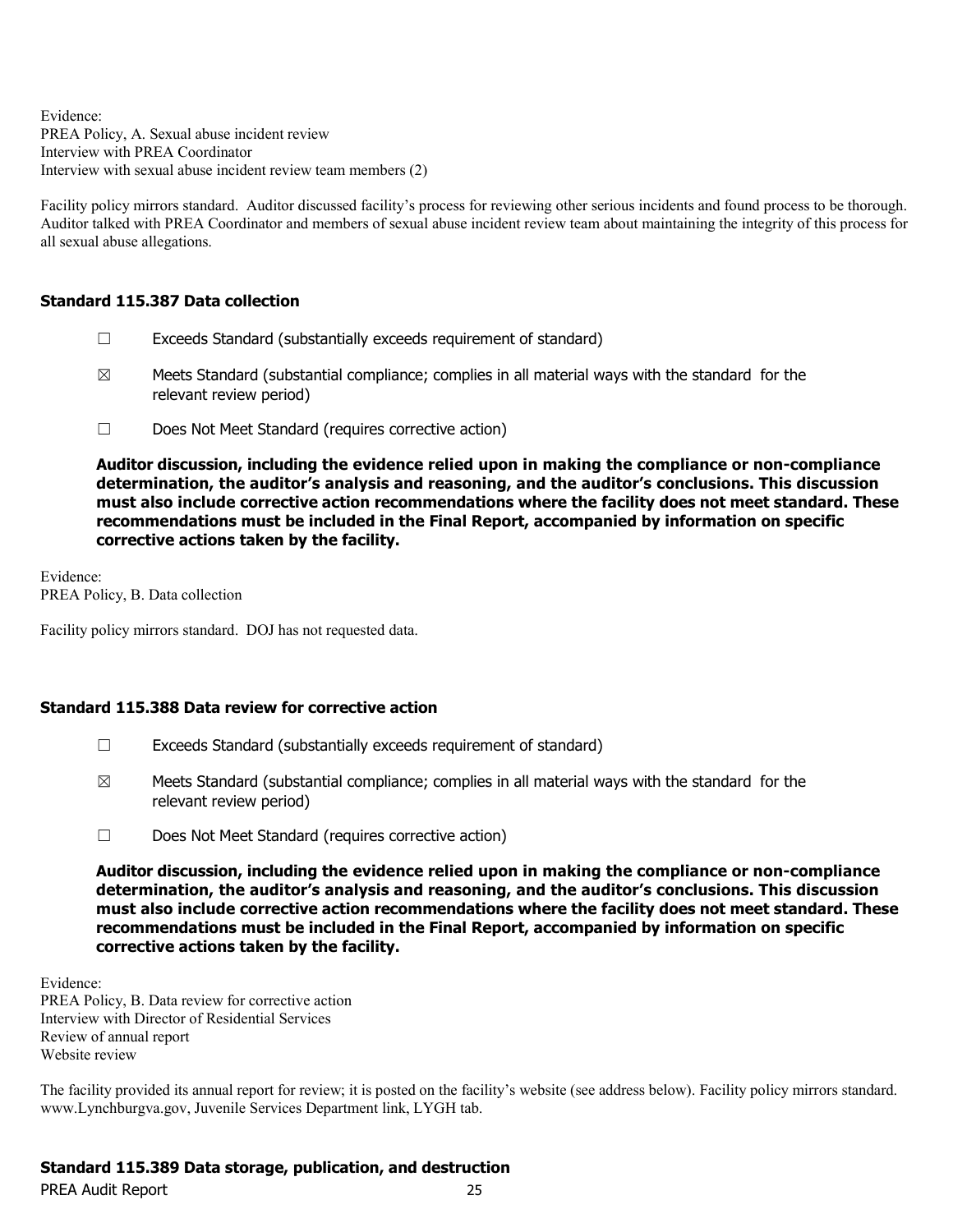Evidence: PREA Policy, A. Sexual abuse incident review Interview with PREA Coordinator Interview with sexual abuse incident review team members (2)

Facility policy mirrors standard. Auditor discussed facility's process for reviewing other serious incidents and found process to be thorough. Auditor talked with PREA Coordinator and members of sexual abuse incident review team about maintaining the integrity of this process for all sexual abuse allegations.

## **Standard 115.387 Data collection**

- $\Box$  Exceeds Standard (substantially exceeds requirement of standard)
- $\boxtimes$  Meets Standard (substantial compliance; complies in all material ways with the standard for the relevant review period)
- ☐ Does Not Meet Standard (requires corrective action)

**Auditor discussion, including the evidence relied upon in making the compliance or non-compliance determination, the auditor's analysis and reasoning, and the auditor's conclusions. This discussion must also include corrective action recommendations where the facility does not meet standard. These recommendations must be included in the Final Report, accompanied by information on specific corrective actions taken by the facility.**

Evidence: PREA Policy, B. Data collection

Facility policy mirrors standard. DOJ has not requested data.

#### **Standard 115.388 Data review for corrective action**

- ☐ Exceeds Standard (substantially exceeds requirement of standard)
- $\boxtimes$  Meets Standard (substantial compliance; complies in all material ways with the standard for the relevant review period)
- ☐ Does Not Meet Standard (requires corrective action)

**Auditor discussion, including the evidence relied upon in making the compliance or non-compliance determination, the auditor's analysis and reasoning, and the auditor's conclusions. This discussion must also include corrective action recommendations where the facility does not meet standard. These recommendations must be included in the Final Report, accompanied by information on specific corrective actions taken by the facility.**

Evidence: PREA Policy, B. Data review for corrective action Interview with Director of Residential Services Review of annual report Website review

The facility provided its annual report for review; it is posted on the facility's website (see address below). Facility policy mirrors standard. www.Lynchburgva.gov, Juvenile Services Department link, LYGH tab.